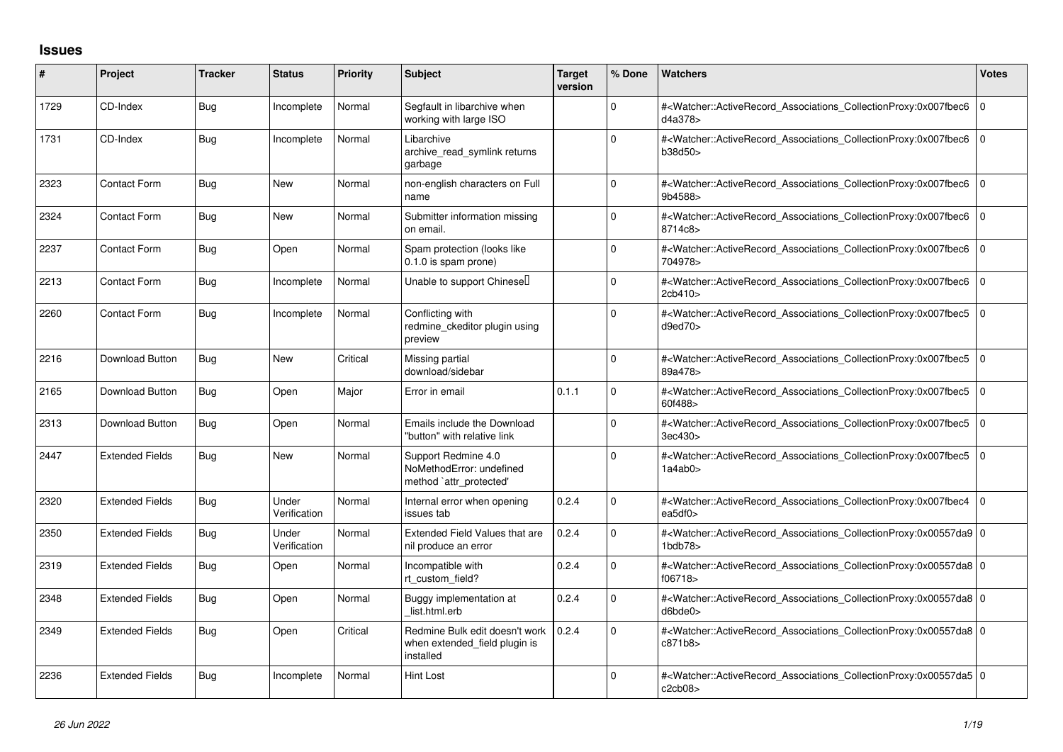## **Issues**

| ∦    | Project                | <b>Tracker</b> | <b>Status</b>         | <b>Priority</b> | <b>Subject</b>                                                               | <b>Target</b><br>version | % Done      | <b>Watchers</b>                                                                                                                                                           | <b>Votes</b>   |
|------|------------------------|----------------|-----------------------|-----------------|------------------------------------------------------------------------------|--------------------------|-------------|---------------------------------------------------------------------------------------------------------------------------------------------------------------------------|----------------|
| 1729 | CD-Index               | Bug            | Incomplete            | Normal          | Segfault in libarchive when<br>working with large ISO                        |                          | $\Omega$    | # <watcher::activerecord_associations_collectionproxy:0x007fbec6<br>d4a378</watcher::activerecord_associations_collectionproxy:0x007fbec6<br>                             | 0              |
| 1731 | CD-Index               | Bug            | Incomplete            | Normal          | Libarchive<br>archive_read_symlink returns<br>garbage                        |                          | $\Omega$    | # <watcher::activerecord associations="" collectionproxy:0x007fbec6<br="">b38d50&gt;</watcher::activerecord>                                                              | $\overline{0}$ |
| 2323 | Contact Form           | Bug            | <b>New</b>            | Normal          | non-english characters on Full<br>name                                       |                          | $\Omega$    | # <watcher::activerecord_associations_collectionproxy:0x007fbec6<br>9b4588&gt;</watcher::activerecord_associations_collectionproxy:0x007fbec6<br>                         | $\overline{0}$ |
| 2324 | <b>Contact Form</b>    | Bug            | <b>New</b>            | Normal          | Submitter information missing<br>on email.                                   |                          | $\Omega$    | # <watcher::activerecord_associations_collectionproxy:0x007fbec6<br>8714c8&gt;</watcher::activerecord_associations_collectionproxy:0x007fbec6<br>                         | $\overline{0}$ |
| 2237 | Contact Form           | <b>Bug</b>     | Open                  | Normal          | Spam protection (looks like<br>0.1.0 is spam prone)                          |                          | 0           | # <watcher::activerecord_associations_collectionproxy:0x007fbec6<br>704978&gt;</watcher::activerecord_associations_collectionproxy:0x007fbec6<br>                         | $\overline{0}$ |
| 2213 | Contact Form           | Bug            | Incomplete            | Normal          | Unable to support Chinesel                                                   |                          | $\Omega$    | # <watcher::activerecord_associations_collectionproxy:0x007fbec6<br>2cb410&gt;</watcher::activerecord_associations_collectionproxy:0x007fbec6<br>                         | $\overline{0}$ |
| 2260 | <b>Contact Form</b>    | Bug            | Incomplete            | Normal          | Conflicting with<br>redmine ckeditor plugin using<br>preview                 |                          | $\Omega$    | # <watcher::activerecord_associations_collectionproxy:0x007fbec5<br>d9ed70</watcher::activerecord_associations_collectionproxy:0x007fbec5<br>                             | 0              |
| 2216 | Download Button        | Bug            | <b>New</b>            | Critical        | Missing partial<br>download/sidebar                                          |                          | $\Omega$    | # <watcher::activerecord_associations_collectionproxy:0x007fbec5<br>89a478&gt;</watcher::activerecord_associations_collectionproxy:0x007fbec5<br>                         | $\overline{0}$ |
| 2165 | Download Button        | Bug            | Open                  | Major           | Error in email                                                               | 0.1.1                    | $\Omega$    | # <watcher::activerecord associations="" collectionproxy:0x007fbec5<br="">60f488&gt;</watcher::activerecord>                                                              | $\overline{0}$ |
| 2313 | Download Button        | Bug            | Open                  | Normal          | Emails include the Download<br>"button" with relative link                   |                          | $\Omega$    | # <watcher::activerecord associations="" collectionproxy:0x007fbec5<br="">3ec430&gt;</watcher::activerecord>                                                              | $\overline{0}$ |
| 2447 | <b>Extended Fields</b> | Bug            | <b>New</b>            | Normal          | Support Redmine 4.0<br>NoMethodError: undefined<br>method `attr_protected'   |                          | $\Omega$    | # <watcher::activerecord_associations_collectionproxy:0x007fbec5<br>1a4ab0</watcher::activerecord_associations_collectionproxy:0x007fbec5<br>                             | l O            |
| 2320 | <b>Extended Fields</b> | Bug            | Under<br>Verification | Normal          | Internal error when opening<br>issues tab                                    | 0.2.4                    | $\Omega$    | # <watcher::activerecord_associations_collectionproxy:0x007fbec4<br>ea5df0&gt;</watcher::activerecord_associations_collectionproxy:0x007fbec4<br>                         | $\overline{0}$ |
| 2350 | <b>Extended Fields</b> | Bug            | Under<br>Verification | Normal          | Extended Field Values that are<br>nil produce an error                       | 0.2.4                    | $\Omega$    | # <watcher::activerecord_associations_collectionproxy:0x00557da9 0<br=""><math>1</math>bdb<math>78</math></watcher::activerecord_associations_collectionproxy:0x00557da9> |                |
| 2319 | <b>Extended Fields</b> | Bug            | Open                  | Normal          | Incompatible with<br>rt custom field?                                        | 0.2.4                    | $\Omega$    | # <watcher::activerecord_associations_collectionproxy:0x00557da8 0<br="">f06718&gt;</watcher::activerecord_associations_collectionproxy:0x00557da8>                       |                |
| 2348 | <b>Extended Fields</b> | <b>Bug</b>     | Open                  | Normal          | Buggy implementation at<br>list.html.erb                                     | 0.2.4                    | 0           | # <watcher::activerecord_associations_collectionproxy:0x00557da8 0<br="">d6bde0</watcher::activerecord_associations_collectionproxy:0x00557da8>                           |                |
| 2349 | <b>Extended Fields</b> | Bug            | Open                  | Critical        | Redmine Bulk edit doesn't work<br>when extended field plugin is<br>installed | 0.2.4                    | $\mathbf 0$ | # <watcher::activerecord 0<br="" associations="" collectionproxy:0x00557da8=""  ="">c871b8</watcher::activerecord>                                                        |                |
| 2236 | <b>Extended Fields</b> | Bug            | Incomplete            | Normal          | Hint Lost                                                                    |                          | $\Omega$    | # <watcher::activerecord_associations_collectionproxy:0x00557da5 0<br="">c2cb08&gt;</watcher::activerecord_associations_collectionproxy:0x00557da5>                       |                |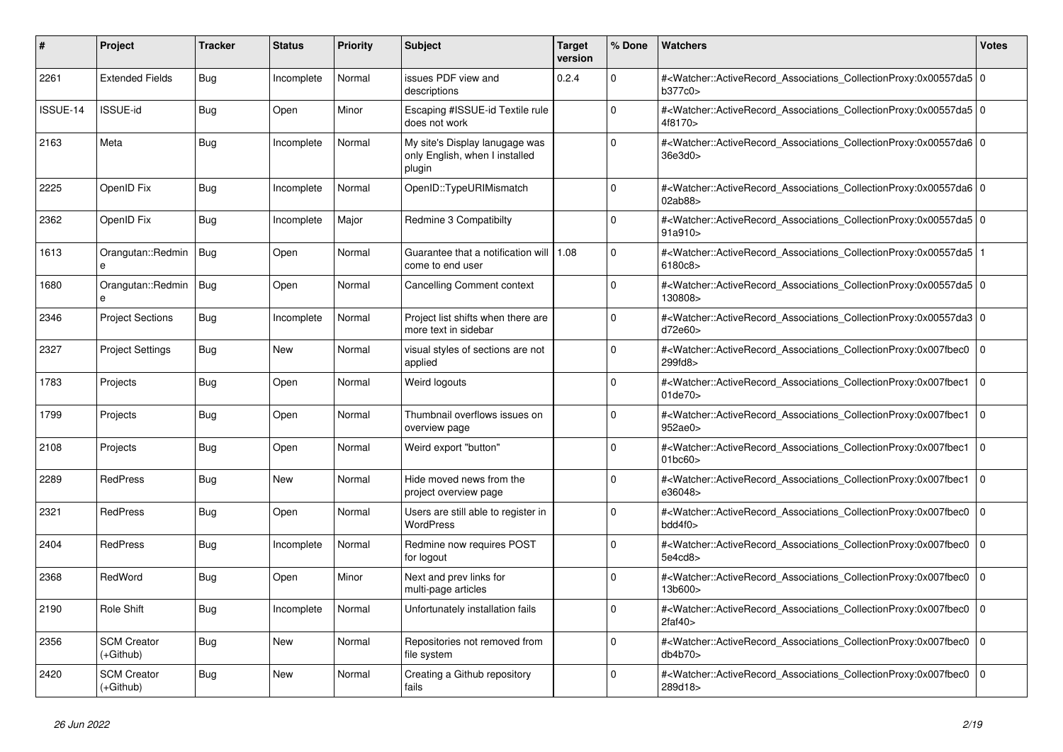| #        | Project                           | <b>Tracker</b> | <b>Status</b> | <b>Priority</b> | <b>Subject</b>                                                             | <b>Target</b><br>version | % Done         | <b>Watchers</b>                                                                                                                                          | Votes          |
|----------|-----------------------------------|----------------|---------------|-----------------|----------------------------------------------------------------------------|--------------------------|----------------|----------------------------------------------------------------------------------------------------------------------------------------------------------|----------------|
| 2261     | <b>Extended Fields</b>            | Bug            | Incomplete    | Normal          | issues PDF view and<br>descriptions                                        | 0.2.4                    | $\Omega$       | # <watcher::activerecord_associations_collectionproxy:0x00557da5 0<br=""  ="">b377c0&gt;</watcher::activerecord_associations_collectionproxy:0x00557da5> |                |
| ISSUE-14 | <b>ISSUE-id</b>                   | <b>Bug</b>     | Open          | Minor           | Escaping #ISSUE-id Textile rule<br>does not work                           |                          | $\Omega$       | # <watcher::activerecord_associations_collectionproxy:0x00557da5 0<br=""  ="">4f8170&gt;</watcher::activerecord_associations_collectionproxy:0x00557da5> |                |
| 2163     | Meta                              | Bug            | Incomplete    | Normal          | My site's Display lanugage was<br>only English, when I installed<br>plugin |                          | $\Omega$       | # <watcher::activerecord 0<br="" associations="" collectionproxy:0x00557da6=""  ="">36e3d0&gt;</watcher::activerecord>                                   |                |
| 2225     | OpenID Fix                        | <b>Bug</b>     | Incomplete    | Normal          | OpenID::TypeURIMismatch                                                    |                          | $\Omega$       | # <watcher::activerecord_associations_collectionproxy:0x00557da6 0<br="">02ab88&gt;</watcher::activerecord_associations_collectionproxy:0x00557da6>      |                |
| 2362     | OpenID Fix                        | Bug            | Incomplete    | Major           | Redmine 3 Compatibilty                                                     |                          | $\Omega$       | # <watcher::activerecord 0<br="" associations="" collectionproxy:0x00557da5=""  ="">91a910&gt;</watcher::activerecord>                                   |                |
| 1613     | Orangutan::Redmin   Bug<br>e      |                | Open          | Normal          | Guarantee that a notification will<br>come to end user                     | 1.08                     | $\mathbf 0$    | # <watcher::activerecord_associations_collectionproxy:0x00557da5<br>6180c8&gt;</watcher::activerecord_associations_collectionproxy:0x00557da5<br>        |                |
| 1680     | Orangutan::Redmin   Bug<br>e      |                | Open          | Normal          | Cancelling Comment context                                                 |                          | $\Omega$       | # <watcher::activerecord_associations_collectionproxy:0x00557da5 0<br=""  ="">130808&gt;</watcher::activerecord_associations_collectionproxy:0x00557da5> |                |
| 2346     | <b>Project Sections</b>           | <b>Bug</b>     | Incomplete    | Normal          | Project list shifts when there are<br>more text in sidebar                 |                          | $\Omega$       | # <watcher::activerecord_associations_collectionproxy:0x00557da3 0<br=""  ="">d72e60&gt;</watcher::activerecord_associations_collectionproxy:0x00557da3> |                |
| 2327     | <b>Project Settings</b>           | Bug            | <b>New</b>    | Normal          | visual styles of sections are not<br>applied                               |                          | $\Omega$       | # <watcher::activerecord associations="" collectionproxy:0x007fbec0<br="">299fd8&gt;</watcher::activerecord>                                             | 0              |
| 1783     | Projects                          | <b>Bug</b>     | Open          | Normal          | Weird logouts                                                              |                          | $\Omega$       | # <watcher::activerecord_associations_collectionproxy:0x007fbec1<br>01de70&gt;</watcher::activerecord_associations_collectionproxy:0x007fbec1<br>        | $\overline{0}$ |
| 1799     | Projects                          | Bug            | Open          | Normal          | Thumbnail overflows issues on<br>overview page                             |                          | $\Omega$       | # <watcher::activerecord associations="" collectionproxy:0x007fbec1<br="">952ae0&gt;</watcher::activerecord>                                             | $\overline{0}$ |
| 2108     | Projects                          | Bug            | Open          | Normal          | Weird export "button"                                                      |                          | $\mathbf 0$    | # <watcher::activerecord associations="" collectionproxy:0x007fbec1<br="">01bc60&gt;</watcher::activerecord>                                             | 0              |
| 2289     | <b>RedPress</b>                   | <b>Bug</b>     | <b>New</b>    | Normal          | Hide moved news from the<br>project overview page                          |                          | $\Omega$       | # <watcher::activerecord_associations_collectionproxy:0x007fbec1<br>e36048&gt;</watcher::activerecord_associations_collectionproxy:0x007fbec1<br>        | $\overline{0}$ |
| 2321     | <b>RedPress</b>                   | Bug            | Open          | Normal          | Users are still able to register in<br><b>WordPress</b>                    |                          | $\Omega$       | # <watcher::activerecord associations="" collectionproxy:0x007fbec0<br="">bdd4f0&gt;</watcher::activerecord>                                             | $\overline{0}$ |
| 2404     | RedPress                          | <b>Bug</b>     | Incomplete    | Normal          | Redmine now requires POST<br>for logout                                    |                          | $\mathbf 0$    | # <watcher::activerecord associations="" collectionproxy:0x007fbec0<br="">5e4cd8&gt;</watcher::activerecord>                                             | 0              |
| 2368     | RedWord                           | <b>Bug</b>     | Open          | Minor           | Next and prev links for<br>multi-page articles                             |                          | $\Omega$       | # <watcher::activerecord_associations_collectionproxy:0x007fbec0<br>13b600&gt;</watcher::activerecord_associations_collectionproxy:0x007fbec0<br>        | $\Omega$       |
| 2190     | Role Shift                        | Bug            | Incomplete    | Normal          | Unfortunately installation fails                                           |                          | $\overline{0}$ | # <watcher::activerecord associations="" collectionproxy:0x007fbec0<br="">2faf40</watcher::activerecord>                                                 | $\Omega$       |
| 2356     | <b>SCM Creator</b><br>(+Github)   | <b>Bug</b>     | New           | Normal          | Repositories not removed from<br>file system                               |                          | $\mathbf 0$    | # <watcher::activerecord_associations_collectionproxy:0x007fbec0<br>db4b70&gt;</watcher::activerecord_associations_collectionproxy:0x007fbec0<br>        | 0              |
| 2420     | <b>SCM Creator</b><br>$(+Github)$ | <b>Bug</b>     | <b>New</b>    | Normal          | Creating a Github repository<br>fails                                      |                          | $\Omega$       | # <watcher::activerecord_associations_collectionproxy:0x007fbec0<br>289d18&gt;</watcher::activerecord_associations_collectionproxy:0x007fbec0<br>        | $\Omega$       |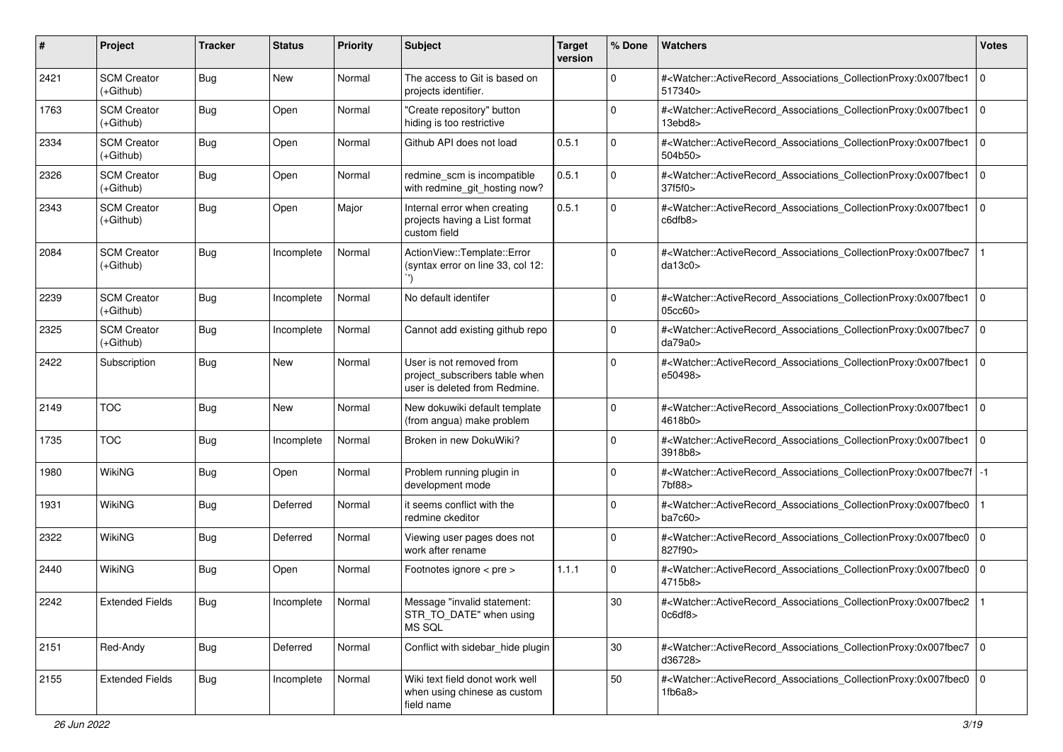| #    | Project                           | <b>Tracker</b> | <b>Status</b> | <b>Priority</b> | Subject                                                                                     | <b>Target</b><br>version | % Done      | Watchers                                                                                                                                                 | <b>Votes</b>   |
|------|-----------------------------------|----------------|---------------|-----------------|---------------------------------------------------------------------------------------------|--------------------------|-------------|----------------------------------------------------------------------------------------------------------------------------------------------------------|----------------|
| 2421 | <b>SCM Creator</b><br>$(+Github)$ | <b>Bug</b>     | New           | Normal          | The access to Git is based on<br>projects identifier.                                       |                          | $\Omega$    | # <watcher::activerecord_associations_collectionproxy:0x007fbec1<br>517340&gt;</watcher::activerecord_associations_collectionproxy:0x007fbec1<br>        | l O            |
| 1763 | <b>SCM Creator</b><br>(+Github)   | <b>Bug</b>     | Open          | Normal          | "Create repository" button<br>hiding is too restrictive                                     |                          | $\Omega$    | # <watcher::activerecord_associations_collectionproxy:0x007fbec1<br>13ebd8&gt;</watcher::activerecord_associations_collectionproxy:0x007fbec1<br>        | 0              |
| 2334 | <b>SCM Creator</b><br>(+Github)   | <b>Bug</b>     | Open          | Normal          | Github API does not load                                                                    | 0.5.1                    | 0           | # <watcher::activerecord_associations_collectionproxy:0x007fbec1<br>504b50&gt;</watcher::activerecord_associations_collectionproxy:0x007fbec1<br>        | l O            |
| 2326 | <b>SCM Creator</b><br>$(+Github)$ | <b>Bug</b>     | Open          | Normal          | redmine_scm is incompatible<br>with redmine_git_hosting now?                                | 0.5.1                    | $\mathbf 0$ | # <watcher::activerecord_associations_collectionproxy:0x007fbec1<br>37f5f0&gt;</watcher::activerecord_associations_collectionproxy:0x007fbec1<br>        | l 0            |
| 2343 | <b>SCM Creator</b><br>$(+Github)$ | <b>Bug</b>     | Open          | Major           | Internal error when creating<br>projects having a List format<br>custom field               | 0.5.1                    | $\Omega$    | # <watcher::activerecord_associations_collectionproxy:0x007fbec1<br>c6dfb8</watcher::activerecord_associations_collectionproxy:0x007fbec1<br>            | 0              |
| 2084 | <b>SCM Creator</b><br>$(+Github)$ | Bug            | Incomplete    | Normal          | ActionView::Template::Error<br>(syntax error on line 33, col 12:                            |                          | $\Omega$    | # <watcher::activerecord_associations_collectionproxy:0x007fbec7<br>da13c0</watcher::activerecord_associations_collectionproxy:0x007fbec7<br>            |                |
| 2239 | <b>SCM Creator</b><br>$(+Github)$ | <b>Bug</b>     | Incomplete    | Normal          | No default identifer                                                                        |                          | $\mathbf 0$ | # <watcher::activerecord_associations_collectionproxy:0x007fbec1 0<br=""  ="">05cc60</watcher::activerecord_associations_collectionproxy:0x007fbec1>     |                |
| 2325 | <b>SCM Creator</b><br>(+Github)   | <b>Bug</b>     | Incomplete    | Normal          | Cannot add existing github repo                                                             |                          | $\mathbf 0$ | # <watcher::activerecord_associations_collectionproxy:0x007fbec7<br>da79a0&gt;</watcher::activerecord_associations_collectionproxy:0x007fbec7<br>        | $\overline{0}$ |
| 2422 | Subscription                      | <b>Bug</b>     | New           | Normal          | User is not removed from<br>project_subscribers table when<br>user is deleted from Redmine. |                          | $\Omega$    | # <watcher::activerecord_associations_collectionproxy:0x007fbec1<br>e50498&gt;</watcher::activerecord_associations_collectionproxy:0x007fbec1<br>        | l O            |
| 2149 | <b>TOC</b>                        | <b>Bug</b>     | <b>New</b>    | Normal          | New dokuwiki default template<br>(from angua) make problem                                  |                          | 0           | # <watcher::activerecord_associations_collectionproxy:0x007fbec1 0<br=""  ="">4618b0&gt;</watcher::activerecord_associations_collectionproxy:0x007fbec1> |                |
| 1735 | <b>TOC</b>                        | <b>Bug</b>     | Incomplete    | Normal          | Broken in new DokuWiki?                                                                     |                          | $\mathbf 0$ | # <watcher::activerecord_associations_collectionproxy:0x007fbec1<br>3918b8&gt;</watcher::activerecord_associations_collectionproxy:0x007fbec1<br>        | $\overline{0}$ |
| 1980 | WikiNG                            | <b>Bug</b>     | Open          | Normal          | Problem running plugin in<br>development mode                                               |                          | $\Omega$    | # <watcher::activerecord_associations_collectionproxy:0x007fbec7f  -1<br="">7bf88&gt;</watcher::activerecord_associations_collectionproxy:0x007fbec7f>   |                |
| 1931 | WikiNG                            | <b>Bug</b>     | Deferred      | Normal          | it seems conflict with the<br>redmine ckeditor                                              |                          | $\Omega$    | # <watcher::activerecord_associations_collectionproxy:0x007fbec0<br>ba7c60</watcher::activerecord_associations_collectionproxy:0x007fbec0<br>            |                |
| 2322 | <b>WikiNG</b>                     | <b>Bug</b>     | Deferred      | Normal          | Viewing user pages does not<br>work after rename                                            |                          | $\Omega$    | # <watcher::activerecord_associations_collectionproxy:0x007fbec0<br>827f90&gt;</watcher::activerecord_associations_collectionproxy:0x007fbec0<br>        | l O            |
| 2440 | WikiNG                            | <b>Bug</b>     | Open          | Normal          | Footnotes ignore < pre >                                                                    | 1.1.1                    | $\mathbf 0$ | # <watcher::activerecord_associations_collectionproxy:0x007fbec0<br>4715b8&gt;</watcher::activerecord_associations_collectionproxy:0x007fbec0<br>        | l 0            |
| 2242 | <b>Extended Fields</b>            | Bug            | Incomplete    | Normal          | Message "invalid statement:<br>STR_TO_DATE" when using<br>MS SQL                            |                          | $30\,$      | # <watcher::activerecord_associations_collectionproxy:0x007fbec2 1<br=""  ="">0c6df8</watcher::activerecord_associations_collectionproxy:0x007fbec2>     |                |
| 2151 | Red-Andy                          | Bug            | Deferred      | Normal          | Conflict with sidebar_hide plugin                                                           |                          | 30          | # <watcher::activerecord_associations_collectionproxy:0x007fbec7 0<br="">d36728&gt;</watcher::activerecord_associations_collectionproxy:0x007fbec7>      |                |
| 2155 | <b>Extended Fields</b>            | <b>Bug</b>     | Incomplete    | Normal          | Wiki text field donot work well<br>when using chinese as custom<br>field name               |                          | 50          | # <watcher::activerecord_associations_collectionproxy:0x007fbec0 0<br="">1fb6a8</watcher::activerecord_associations_collectionproxy:0x007fbec0>          |                |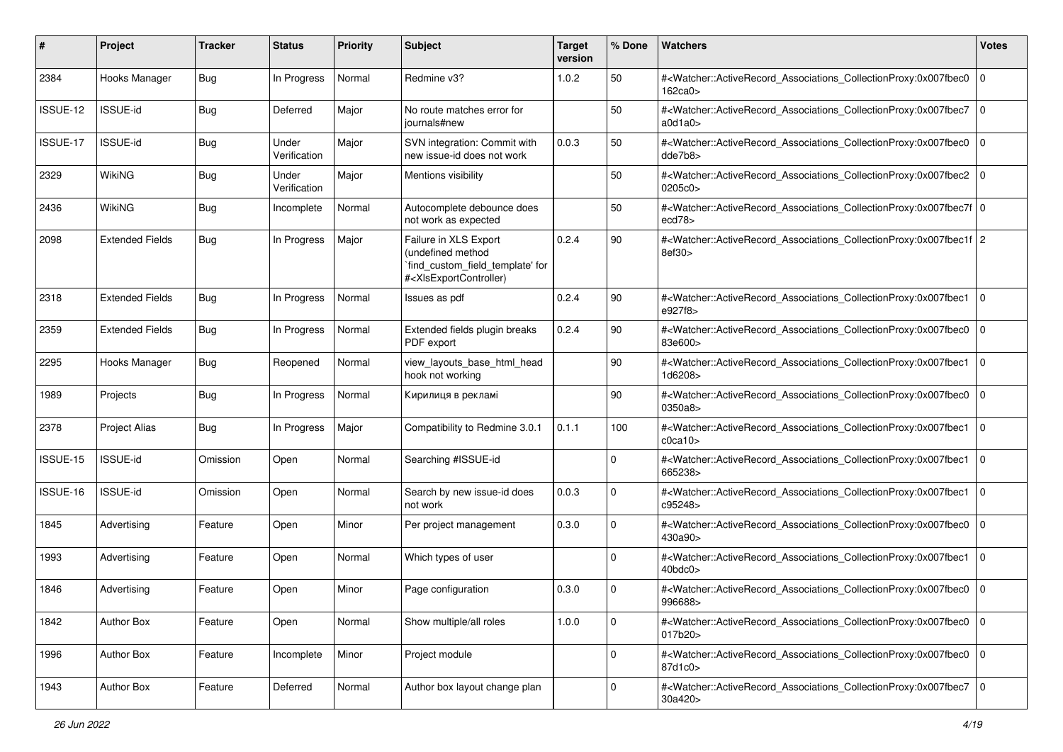| #        | Project                | <b>Tracker</b> | <b>Status</b>         | <b>Priority</b> | <b>Subject</b>                                                                                                                                                                                                                                                                                                                          | <b>Target</b><br>version | % Done      | <b>Watchers</b>                                                                                                                                          | <b>Votes</b>   |
|----------|------------------------|----------------|-----------------------|-----------------|-----------------------------------------------------------------------------------------------------------------------------------------------------------------------------------------------------------------------------------------------------------------------------------------------------------------------------------------|--------------------------|-------------|----------------------------------------------------------------------------------------------------------------------------------------------------------|----------------|
| 2384     | Hooks Manager          | <b>Bug</b>     | In Progress           | Normal          | Redmine v3?                                                                                                                                                                                                                                                                                                                             | 1.0.2                    | 50          | # <watcher::activerecord_associations_collectionproxy:0x007fbec0<br>162ca0&gt;</watcher::activerecord_associations_collectionproxy:0x007fbec0<br>        | 0              |
| ISSUE-12 | <b>ISSUE-id</b>        | <b>Bug</b>     | Deferred              | Major           | No route matches error for<br>journals#new                                                                                                                                                                                                                                                                                              |                          | 50          | # <watcher::activerecord_associations_collectionproxy:0x007fbec7<br>a0d1a0&gt;</watcher::activerecord_associations_collectionproxy:0x007fbec7<br>        | 0              |
| ISSUE-17 | ISSUE-id               | <b>Bug</b>     | Under<br>Verification | Major           | SVN integration: Commit with<br>new issue-id does not work                                                                                                                                                                                                                                                                              | 0.0.3                    | 50          | # <watcher::activerecord_associations_collectionproxy:0x007fbec0<br>dde7b8&gt;</watcher::activerecord_associations_collectionproxy:0x007fbec0<br>        | 0              |
| 2329     | WikiNG                 | <b>Bug</b>     | Under<br>Verification | Major           | Mentions visibility                                                                                                                                                                                                                                                                                                                     |                          | 50          | # <watcher::activerecord associations="" collectionproxy:0x007fbec2<br="">0205c0</watcher::activerecord>                                                 | l O            |
| 2436     | WikiNG                 | <b>Bug</b>     | Incomplete            | Normal          | Autocomplete debounce does<br>not work as expected                                                                                                                                                                                                                                                                                      |                          | 50          | # <watcher::activerecord 0<br="" associations="" collectionproxy:0x007fbec7f=""  ="">ecd78</watcher::activerecord>                                       |                |
| 2098     | <b>Extended Fields</b> | <b>Bug</b>     | In Progress           | Major           | Failure in XLS Export<br>(undefined method<br>`find_custom_field_template' for<br># <xlsexportcontroller)< td=""><td>0.2.4</td><td>90</td><td>#<watcher::activerecord_associations_collectionproxy:0x007fbec1f 2<br="">8ef30&gt;</watcher::activerecord_associations_collectionproxy:0x007fbec1f></td><td></td></xlsexportcontroller)<> | 0.2.4                    | 90          | # <watcher::activerecord_associations_collectionproxy:0x007fbec1f 2<br="">8ef30&gt;</watcher::activerecord_associations_collectionproxy:0x007fbec1f>     |                |
| 2318     | <b>Extended Fields</b> | <b>Bug</b>     | In Progress           | Normal          | Issues as pdf                                                                                                                                                                                                                                                                                                                           | 0.2.4                    | 90          | # <watcher::activerecord_associations_collectionproxy:0x007fbec1<br>e927f8&gt;</watcher::activerecord_associations_collectionproxy:0x007fbec1<br>        | l O            |
| 2359     | <b>Extended Fields</b> | <b>Bug</b>     | In Progress           | Normal          | Extended fields plugin breaks<br>PDF export                                                                                                                                                                                                                                                                                             | 0.2.4                    | 90          | # <watcher::activerecord_associations_collectionproxy:0x007fbec0<br>83e600&gt;</watcher::activerecord_associations_collectionproxy:0x007fbec0<br>        | $\overline{0}$ |
| 2295     | Hooks Manager          | <b>Bug</b>     | Reopened              | Normal          | view_layouts_base_html_head<br>hook not working                                                                                                                                                                                                                                                                                         |                          | 90          | # <watcher::activerecord_associations_collectionproxy:0x007fbec1<br>1d6208&gt;</watcher::activerecord_associations_collectionproxy:0x007fbec1<br>        | 0              |
| 1989     | Projects               | <b>Bug</b>     | In Progress           | Normal          | Кирилиця в рекламі                                                                                                                                                                                                                                                                                                                      |                          | 90          | # <watcher::activerecord_associations_collectionproxy:0x007fbec0<br>0350a8</watcher::activerecord_associations_collectionproxy:0x007fbec0<br>            | l 0            |
| 2378     | <b>Project Alias</b>   | <b>Bug</b>     | In Progress           | Major           | Compatibility to Redmine 3.0.1                                                                                                                                                                                                                                                                                                          | 0.1.1                    | 100         | # <watcher::activerecord_associations_collectionproxy:0x007fbec1<br>c0ca10</watcher::activerecord_associations_collectionproxy:0x007fbec1<br>            | 0              |
| ISSUE-15 | ISSUE-id               | Omission       | Open                  | Normal          | Searching #ISSUE-id                                                                                                                                                                                                                                                                                                                     |                          | $\Omega$    | # <watcher::activerecord_associations_collectionproxy:0x007fbec1<br>665238&gt;</watcher::activerecord_associations_collectionproxy:0x007fbec1<br>        | 0              |
| ISSUE-16 | ISSUE-id               | Omission       | Open                  | Normal          | Search by new issue-id does<br>not work                                                                                                                                                                                                                                                                                                 | 0.0.3                    | $\mathbf 0$ | # <watcher::activerecord_associations_collectionproxy:0x007fbec1<br>c95248&gt;</watcher::activerecord_associations_collectionproxy:0x007fbec1<br>        | 0              |
| 1845     | Advertising            | Feature        | Open                  | Minor           | Per project management                                                                                                                                                                                                                                                                                                                  | 0.3.0                    | $\mathbf 0$ | # <watcher::activerecord_associations_collectionproxy:0x007fbec0<br>430a90&gt;</watcher::activerecord_associations_collectionproxy:0x007fbec0<br>        | l O            |
| 1993     | Advertising            | Feature        | Open                  | Normal          | Which types of user                                                                                                                                                                                                                                                                                                                     |                          | $\Omega$    | # <watcher::activerecord_associations_collectionproxy:0x007fbec1<br>40bdc0&gt;</watcher::activerecord_associations_collectionproxy:0x007fbec1<br>        | $\overline{0}$ |
| 1846     | Advertising            | Feature        | Open                  | Minor           | Page configuration                                                                                                                                                                                                                                                                                                                      | 0.3.0                    | $\Omega$    | # <watcher::activerecord_associations_collectionproxy:0x007fbec0 0<br="">996688&gt;</watcher::activerecord_associations_collectionproxy:0x007fbec0>      |                |
| 1842     | Author Box             | Feature        | Open                  | Normal          | Show multiple/all roles                                                                                                                                                                                                                                                                                                                 | 1.0.0                    | $\mathbf 0$ | # <watcher::activerecord_associations_collectionproxy:0x007fbec0 0<br=""  ="">017b20&gt;</watcher::activerecord_associations_collectionproxy:0x007fbec0> |                |
| 1996     | Author Box             | Feature        | Incomplete            | Minor           | Project module                                                                                                                                                                                                                                                                                                                          |                          | $\mathbf 0$ | # <watcher::activerecord_associations_collectionproxy:0x007fbec0 0<br="">87d1c0&gt;</watcher::activerecord_associations_collectionproxy:0x007fbec0>      |                |
| 1943     | Author Box             | Feature        | Deferred              | Normal          | Author box layout change plan                                                                                                                                                                                                                                                                                                           |                          | $\mathbf 0$ | # <watcher::activerecord_associations_collectionproxy:0x007fbec7<br>30a420&gt;</watcher::activerecord_associations_collectionproxy:0x007fbec7<br>        | l o            |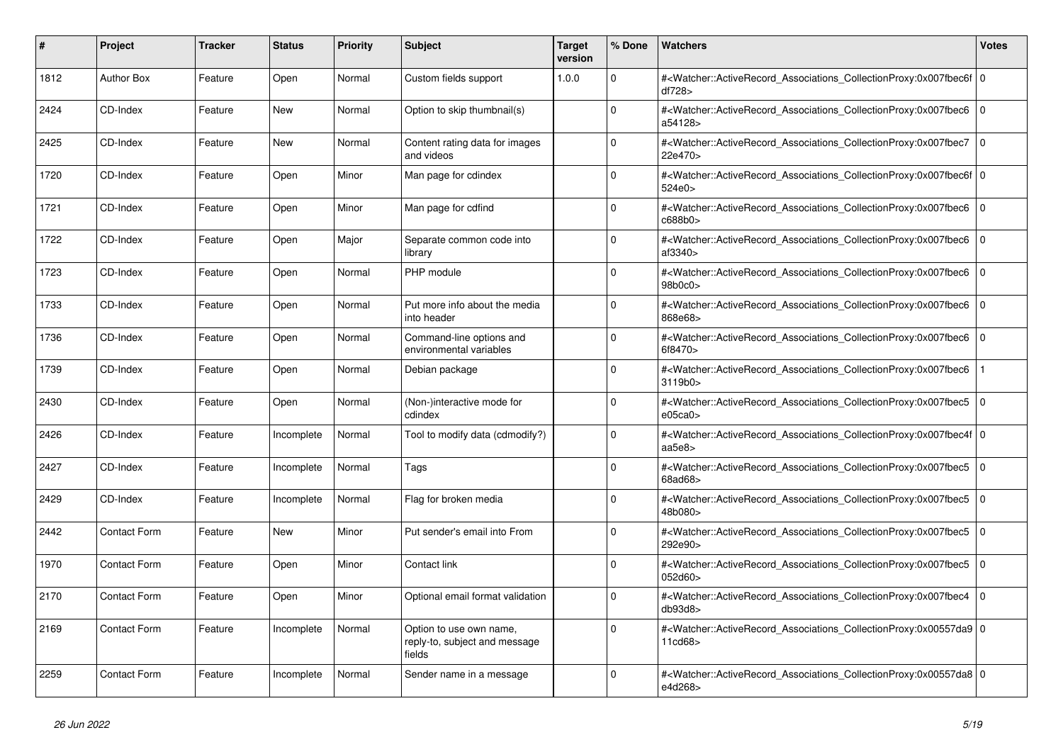| ∦    | <b>Project</b>      | <b>Tracker</b> | <b>Status</b> | <b>Priority</b> | <b>Subject</b>                                                     | <b>Target</b><br>version | % Done      | <b>Watchers</b>                                                                                                                                           | <b>Votes</b>   |
|------|---------------------|----------------|---------------|-----------------|--------------------------------------------------------------------|--------------------------|-------------|-----------------------------------------------------------------------------------------------------------------------------------------------------------|----------------|
| 1812 | <b>Author Box</b>   | Feature        | Open          | Normal          | Custom fields support                                              | 1.0.0                    | $\Omega$    | # <watcher::activerecord 0<br="" associations="" collectionproxy:0x007fbec6f=""  ="">df728&gt;</watcher::activerecord>                                    |                |
| 2424 | CD-Index            | Feature        | <b>New</b>    | Normal          | Option to skip thumbnail(s)                                        |                          | 0           | # <watcher::activerecord_associations_collectionproxy:0x007fbec6<br>a54128&gt;</watcher::activerecord_associations_collectionproxy:0x007fbec6<br>         | $\Omega$       |
| 2425 | CD-Index            | Feature        | <b>New</b>    | Normal          | Content rating data for images<br>and videos                       |                          | $\Omega$    | # <watcher::activerecord associations="" collectionproxy:0x007fbec7<br="">22e470&gt;</watcher::activerecord>                                              | l o            |
| 1720 | CD-Index            | Feature        | Open          | Minor           | Man page for cdindex                                               |                          | $\Omega$    | # <watcher::activerecord 0<br="" associations="" collectionproxy:0x007fbec6f=""  ="">524e0&gt;</watcher::activerecord>                                    |                |
| 1721 | CD-Index            | Feature        | Open          | Minor           | Man page for cdfind                                                |                          | $\mathbf 0$ | # <watcher::activerecord_associations_collectionproxy:0x007fbec6<br>c688b0&gt;</watcher::activerecord_associations_collectionproxy:0x007fbec6<br>         | $\overline{0}$ |
| 1722 | CD-Index            | Feature        | Open          | Major           | Separate common code into<br>library                               |                          | $\Omega$    | # <watcher::activerecord associations="" collectionproxy:0x007fbec6<br="">af3340&gt;</watcher::activerecord>                                              | $\overline{0}$ |
| 1723 | CD-Index            | Feature        | Open          | Normal          | PHP module                                                         |                          | $\Omega$    | # <watcher::activerecord_associations_collectionproxy:0x007fbec6<br>98b0c0&gt;</watcher::activerecord_associations_collectionproxy:0x007fbec6<br>         | l 0            |
| 1733 | CD-Index            | Feature        | Open          | Normal          | Put more info about the media<br>into header                       |                          | $\Omega$    | # <watcher::activerecord_associations_collectionproxy:0x007fbec6 0<br="">868e68&gt;</watcher::activerecord_associations_collectionproxy:0x007fbec6>       |                |
| 1736 | CD-Index            | Feature        | Open          | Normal          | Command-line options and<br>environmental variables                |                          | $\Omega$    | # <watcher::activerecord_associations_collectionproxy:0x007fbec6<br>6f8470&gt;</watcher::activerecord_associations_collectionproxy:0x007fbec6<br>         | l O            |
| 1739 | CD-Index            | Feature        | Open          | Normal          | Debian package                                                     |                          | O           | # <watcher::activerecord associations="" collectionproxy:0x007fbec6<br="">3119b0</watcher::activerecord>                                                  |                |
| 2430 | CD-Index            | Feature        | Open          | Normal          | (Non-)interactive mode for<br>cdindex                              |                          | $\mathbf 0$ | # <watcher::activerecord_associations_collectionproxy:0x007fbec5 0<br=""  ="">e05ca0&gt;</watcher::activerecord_associations_collectionproxy:0x007fbec5>  |                |
| 2426 | CD-Index            | Feature        | Incomplete    | Normal          | Tool to modify data (cdmodify?)                                    |                          | $\Omega$    | # <watcher::activerecord_associations_collectionproxy:0x007fbec4f 0<br=""  ="">aa5e8&gt;</watcher::activerecord_associations_collectionproxy:0x007fbec4f> |                |
| 2427 | CD-Index            | Feature        | Incomplete    | Normal          | Tags                                                               |                          | U           | # <watcher::activerecord associations="" collectionproxy:0x007fbec5<br="">68ad68&gt;</watcher::activerecord>                                              | $\Omega$       |
| 2429 | CD-Index            | Feature        | Incomplete    | Normal          | Flag for broken media                                              |                          | $\Omega$    | # <watcher::activerecord associations="" collectionproxy:0x007fbec5<br="">48b080&gt;</watcher::activerecord>                                              | l O            |
| 2442 | Contact Form        | Feature        | <b>New</b>    | Minor           | Put sender's email into From                                       |                          | $\Omega$    | # <watcher::activerecord associations="" collectionproxy:0x007fbec5<br="">292e90&gt;</watcher::activerecord>                                              | $\overline{0}$ |
| 1970 | Contact Form        | Feature        | Open          | Minor           | Contact link                                                       |                          | $\Omega$    | # <watcher::activerecord associations="" collectionproxy:0x007fbec5<br="">052d60&gt;</watcher::activerecord>                                              | 0              |
| 2170 | Contact Form        | Feature        | Open          | Minor           | Optional email format validation                                   |                          | $\Omega$    | # <watcher::activerecord_associations_collectionproxy:0x007fbec4<br>db93d8&gt;</watcher::activerecord_associations_collectionproxy:0x007fbec4<br>         | $\overline{0}$ |
| 2169 | <b>Contact Form</b> | Feature        | Incomplete    | Normal          | Option to use own name,<br>reply-to, subject and message<br>fields |                          | $\Omega$    | # <watcher::activerecord 0<br="" associations="" collectionproxy:0x00557da9=""  ="">11cd68&gt;</watcher::activerecord>                                    |                |
| 2259 | Contact Form        | Feature        | Incomplete    | Normal          | Sender name in a message                                           |                          | $\Omega$    | # <watcher::activerecord_associations_collectionproxy:0x00557da8 0<br=""  ="">e4d268&gt;</watcher::activerecord_associations_collectionproxy:0x00557da8>  |                |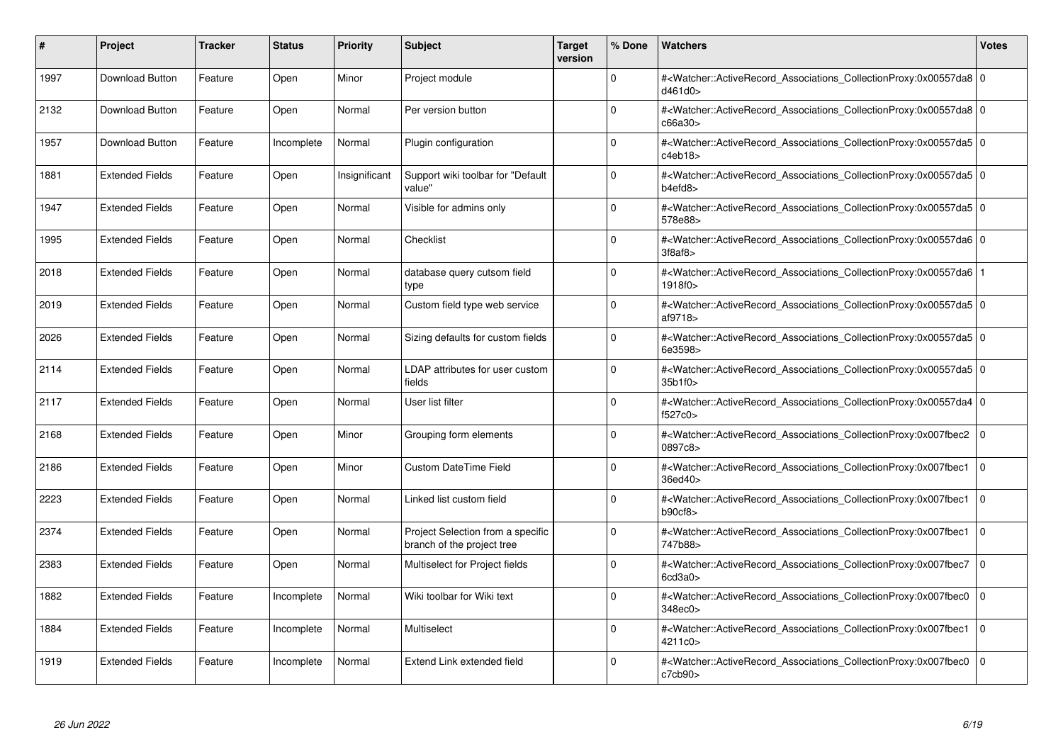| #    | <b>Project</b>         | <b>Tracker</b> | <b>Status</b> | <b>Priority</b> | <b>Subject</b>                                                  | <b>Target</b><br>version | % Done      | <b>Watchers</b>                                                                                                                                          | <b>Votes</b>   |
|------|------------------------|----------------|---------------|-----------------|-----------------------------------------------------------------|--------------------------|-------------|----------------------------------------------------------------------------------------------------------------------------------------------------------|----------------|
| 1997 | <b>Download Button</b> | Feature        | Open          | Minor           | Project module                                                  |                          | $\Omega$    | # <watcher::activerecord 0<br="" associations="" collectionproxy:0x00557da8=""  ="">d461d0&gt;</watcher::activerecord>                                   |                |
| 2132 | Download Button        | Feature        | Open          | Normal          | Per version button                                              |                          | $\Omega$    | # <watcher::activerecord_associations_collectionproxy:0x00557da8 0<br=""  ="">c66a30&gt;</watcher::activerecord_associations_collectionproxy:0x00557da8> |                |
| 1957 | <b>Download Button</b> | Feature        | Incomplete    | Normal          | Plugin configuration                                            |                          | $\Omega$    | # <watcher::activerecord 0<br="" associations="" collectionproxy:0x00557da5=""  ="">c4eb18</watcher::activerecord>                                       |                |
| 1881 | <b>Extended Fields</b> | Feature        | Open          | Insignificant   | Support wiki toolbar for "Default<br>value"                     |                          | $\Omega$    | # <watcher::activerecord 0<br="" associations="" collectionproxy:0x00557da5=""  ="">b4efd8</watcher::activerecord>                                       |                |
| 1947 | <b>Extended Fields</b> | Feature        | Open          | Normal          | Visible for admins only                                         |                          | $\Omega$    | # <watcher::activerecord 0<br="" associations="" collectionproxy:0x00557da5=""  ="">578e88&gt;</watcher::activerecord>                                   |                |
| 1995 | <b>Extended Fields</b> | Feature        | Open          | Normal          | Checklist                                                       |                          | $\Omega$    | # <watcher::activerecord 0<br="" associations="" collectionproxy:0x00557da6="">3f8af8</watcher::activerecord>                                            |                |
| 2018 | <b>Extended Fields</b> | Feature        | Open          | Normal          | database query cutsom field<br>type                             |                          | $\Omega$    | # <watcher::activerecord_associations_collectionproxy:0x00557da6 1<br=""  ="">1918f0&gt;</watcher::activerecord_associations_collectionproxy:0x00557da6> |                |
| 2019 | <b>Extended Fields</b> | Feature        | Open          | Normal          | Custom field type web service                                   |                          | $\Omega$    | # <watcher::activerecord 0<br="" associations="" collectionproxy:0x00557da5=""  ="">af9718&gt;</watcher::activerecord>                                   |                |
| 2026 | <b>Extended Fields</b> | Feature        | Open          | Normal          | Sizing defaults for custom fields                               |                          | $\Omega$    | # <watcher::activerecord_associations_collectionproxy:0x00557da5 0<br=""  ="">6e3598&gt;</watcher::activerecord_associations_collectionproxy:0x00557da5> |                |
| 2114 | <b>Extended Fields</b> | Feature        | Open          | Normal          | LDAP attributes for user custom<br>fields                       |                          | $\Omega$    | # <watcher::activerecord_associations_collectionproxy:0x00557da5 0<br=""  ="">35b1f0&gt;</watcher::activerecord_associations_collectionproxy:0x00557da5> |                |
| 2117 | <b>Extended Fields</b> | Feature        | Open          | Normal          | User list filter                                                |                          | $\Omega$    | # <watcher::activerecord 0<br="" associations="" collectionproxy:0x00557da4=""  ="">f527c0&gt;</watcher::activerecord>                                   |                |
| 2168 | <b>Extended Fields</b> | Feature        | Open          | Minor           | Grouping form elements                                          |                          | $\Omega$    | # <watcher::activerecord_associations_collectionproxy:0x007fbec2 0<br=""  ="">0897c8&gt;</watcher::activerecord_associations_collectionproxy:0x007fbec2> |                |
| 2186 | <b>Extended Fields</b> | Feature        | Open          | Minor           | <b>Custom DateTime Field</b>                                    |                          | $\Omega$    | # <watcher::activerecord associations="" collectionproxy:0x007fbec1<br="">36ed40&gt;</watcher::activerecord>                                             | $\Omega$       |
| 2223 | <b>Extended Fields</b> | Feature        | Open          | Normal          | Linked list custom field                                        |                          | $\mathbf 0$ | # <watcher::activerecord_associations_collectionproxy:0x007fbec1<br>b90cf8</watcher::activerecord_associations_collectionproxy:0x007fbec1<br>            | $\overline{0}$ |
| 2374 | <b>Extended Fields</b> | Feature        | Open          | Normal          | Project Selection from a specific<br>branch of the project tree |                          | $\Omega$    | # <watcher::activerecord_associations_collectionproxy:0x007fbec1<br>747b88&gt;</watcher::activerecord_associations_collectionproxy:0x007fbec1<br>        | $\Omega$       |
| 2383 | <b>Extended Fields</b> | Feature        | Open          | Normal          | Multiselect for Project fields                                  |                          | $\Omega$    | # <watcher::activerecord associations="" collectionproxy:0x007fbec7<br="">6cd3a0</watcher::activerecord>                                                 | l 0            |
| 1882 | <b>Extended Fields</b> | Feature        | Incomplete    | Normal          | Wiki toolbar for Wiki text                                      |                          | $\Omega$    | # <watcher::activerecord_associations_collectionproxy:0x007fbec0<br>348ec0&gt;</watcher::activerecord_associations_collectionproxy:0x007fbec0<br>        | l 0            |
| 1884 | <b>Extended Fields</b> | Feature        | Incomplete    | Normal          | Multiselect                                                     |                          | $\mathbf 0$ | # <watcher::activerecord associations="" collectionproxy:0x007fbec1<br="">4211c0&gt;</watcher::activerecord>                                             | $\Omega$       |
| 1919 | <b>Extended Fields</b> | Feature        | Incomplete    | Normal          | Extend Link extended field                                      |                          | $\Omega$    | # <watcher::activerecord associations="" collectionproxy:0x007fbec0<br="">c7cb90</watcher::activerecord>                                                 | $\Omega$       |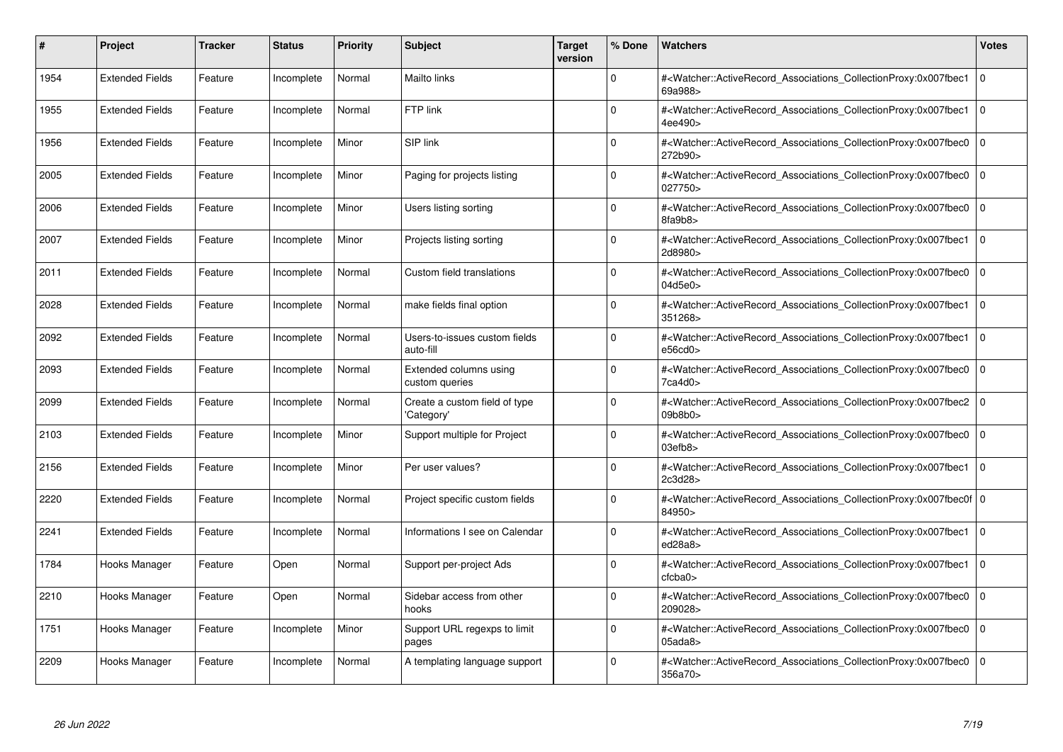| #    | <b>Project</b>         | Tracker | <b>Status</b> | <b>Priority</b> | <b>Subject</b>                              | <b>Target</b><br>version | % Done   | <b>Watchers</b>                                                                                                                                              | <b>Votes</b>   |
|------|------------------------|---------|---------------|-----------------|---------------------------------------------|--------------------------|----------|--------------------------------------------------------------------------------------------------------------------------------------------------------------|----------------|
| 1954 | <b>Extended Fields</b> | Feature | Incomplete    | Normal          | <b>Mailto links</b>                         |                          | $\Omega$ | # <watcher::activerecord associations="" collectionproxy:0x007fbec1<br="">69a988&gt;</watcher::activerecord>                                                 | $\Omega$       |
| 1955 | <b>Extended Fields</b> | Feature | Incomplete    | Normal          | FTP link                                    |                          | $\Omega$ | # <watcher::activerecord associations="" collectionproxy:0x007fbec1<br="">4ee490&gt;</watcher::activerecord>                                                 | $\overline{0}$ |
| 1956 | <b>Extended Fields</b> | Feature | Incomplete    | Minor           | SIP link                                    |                          | $\Omega$ | # <watcher::activerecord_associations_collectionproxy:0x007fbec0<br>272b90&gt;</watcher::activerecord_associations_collectionproxy:0x007fbec0<br>            | $\Omega$       |
| 2005 | <b>Extended Fields</b> | Feature | Incomplete    | Minor           | Paging for projects listing                 |                          | $\Omega$ | # <watcher::activerecord_associations_collectionproxy:0x007fbec0 0<br="">027750&gt;</watcher::activerecord_associations_collectionproxy:0x007fbec0>          |                |
| 2006 | <b>Extended Fields</b> | Feature | Incomplete    | Minor           | Users listing sorting                       |                          | $\Omega$ | # <watcher::activerecord_associations_collectionproxy:0x007fbec0<br>8fa9b8&gt;</watcher::activerecord_associations_collectionproxy:0x007fbec0<br>            | $\mathbf 0$    |
| 2007 | <b>Extended Fields</b> | Feature | Incomplete    | Minor           | Projects listing sorting                    |                          | $\Omega$ | # <watcher::activerecord_associations_collectionproxy:0x007fbec1<br>2d8980&gt;</watcher::activerecord_associations_collectionproxy:0x007fbec1<br>            | $\Omega$       |
| 2011 | <b>Extended Fields</b> | Feature | Incomplete    | Normal          | Custom field translations                   |                          | $\Omega$ | # <watcher::activerecord associations="" collectionproxy:0x007fbec0<br="">04d5e0&gt;</watcher::activerecord>                                                 | $\mathbf 0$    |
| 2028 | <b>Extended Fields</b> | Feature | Incomplete    | Normal          | make fields final option                    |                          | $\Omega$ | # <watcher::activerecord_associations_collectionproxy:0x007fbec1 0<br=""  ="">351268&gt;</watcher::activerecord_associations_collectionproxy:0x007fbec1>     |                |
| 2092 | <b>Extended Fields</b> | Feature | Incomplete    | Normal          | Users-to-issues custom fields<br>auto-fill  |                          | $\Omega$ | # <watcher::activerecord associations="" collectionproxy:0x007fbec1<br="">e56cd0&gt;</watcher::activerecord>                                                 | $\mathbf 0$    |
| 2093 | <b>Extended Fields</b> | Feature | Incomplete    | Normal          | Extended columns using<br>custom queries    |                          | $\Omega$ | # <watcher::activerecord associations="" collectionproxy:0x007fbec0<br="">7ca4d0&gt;</watcher::activerecord>                                                 | $\mathbf 0$    |
| 2099 | <b>Extended Fields</b> | Feature | Incomplete    | Normal          | Create a custom field of type<br>'Category' |                          | $\Omega$ | # <watcher::activerecord_associations_collectionproxy:0x007fbec2<br>09b8b0&gt;</watcher::activerecord_associations_collectionproxy:0x007fbec2<br>            | $\mathbf 0$    |
| 2103 | <b>Extended Fields</b> | Feature | Incomplete    | Minor           | Support multiple for Project                |                          | $\Omega$ | # <watcher::activerecord associations="" collectionproxy:0x007fbec0=""  <br="">03efb8</watcher::activerecord>                                                | $\mathbf 0$    |
| 2156 | <b>Extended Fields</b> | Feature | Incomplete    | Minor           | Per user values?                            |                          | $\Omega$ | # <watcher::activerecord associations="" collectionproxy:0x007fbec1<br="">2c3d28&gt;</watcher::activerecord>                                                 | $\mathbf 0$    |
| 2220 | <b>Extended Fields</b> | Feature | Incomplete    | Normal          | Project specific custom fields              |                          | $\Omega$ | # <watcher::activerecord_associations_collectionproxy:0x007fbec0f 0<br=""  ="">84950&gt;</watcher::activerecord_associations_collectionproxy:0x007fbec0f>    |                |
| 2241 | <b>Extended Fields</b> | Feature | Incomplete    | Normal          | Informations I see on Calendar              |                          | $\Omega$ | # <watcher::activerecord associations="" collectionproxy:0x007fbec1<br="">ed28a8&gt;</watcher::activerecord>                                                 | $\mathbf 0$    |
| 1784 | Hooks Manager          | Feature | Open          | Normal          | Support per-project Ads                     |                          | $\Omega$ | # <watcher::activerecord_associations_collectionproxy:0x007fbec1<br>ctcba0<sub>&gt;</sub></watcher::activerecord_associations_collectionproxy:0x007fbec1<br> | $\mathbf 0$    |
| 2210 | Hooks Manager          | Feature | Open          | Normal          | Sidebar access from other<br>hooks          |                          | $\Omega$ | # <watcher::activerecord associations="" collectionproxy:0x007fbec0<br="">209028&gt;</watcher::activerecord>                                                 | $\Omega$       |
| 1751 | Hooks Manager          | Feature | Incomplete    | Minor           | Support URL regexps to limit<br>pages       |                          | $\Omega$ | # <watcher::activerecord associations="" collectionproxy:0x007fbec0<br="">05ada8</watcher::activerecord>                                                     | $\mathbf 0$    |
| 2209 | Hooks Manager          | Feature | Incomplete    | Normal          | A templating language support               |                          | $\Omega$ | # <watcher::activerecord associations="" collectionproxy:0x007fbec0=""  <br="">356a70&gt;</watcher::activerecord>                                            | $\mathbf 0$    |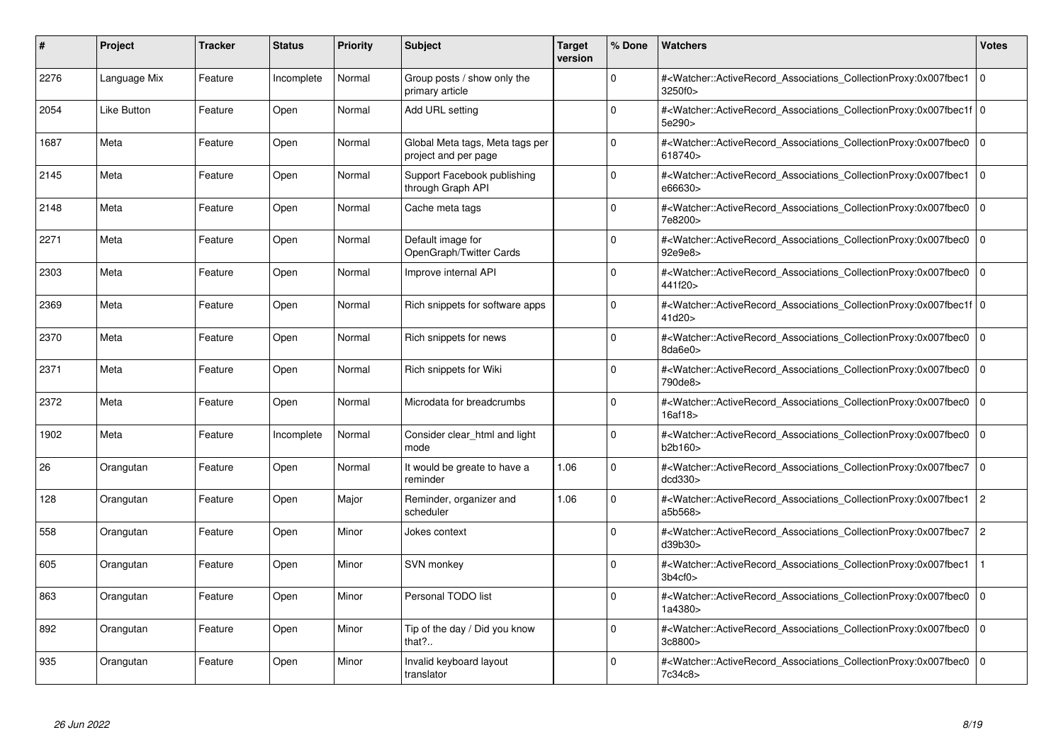| #    | Project            | <b>Tracker</b> | <b>Status</b> | <b>Priority</b> | <b>Subject</b>                                          | <b>Target</b><br>version | % Done   | <b>Watchers</b>                                                                                                                                           | <b>Votes</b>   |
|------|--------------------|----------------|---------------|-----------------|---------------------------------------------------------|--------------------------|----------|-----------------------------------------------------------------------------------------------------------------------------------------------------------|----------------|
| 2276 | Language Mix       | Feature        | Incomplete    | Normal          | Group posts / show only the<br>primary article          |                          | $\Omega$ | # <watcher::activerecord associations="" collectionproxy:0x007fbec1<br="">3250f0&gt;</watcher::activerecord>                                              | $\mathbf 0$    |
| 2054 | <b>Like Button</b> | Feature        | Open          | Normal          | Add URL setting                                         |                          | $\Omega$ | # <watcher::activerecord 0<br="" associations="" collectionproxy:0x007fbec1f=""  ="">5e290&gt;</watcher::activerecord>                                    |                |
| 1687 | Meta               | Feature        | Open          | Normal          | Global Meta tags, Meta tags per<br>project and per page |                          | $\Omega$ | # <watcher::activerecord_associations_collectionproxy:0x007fbec0<br>618740&gt;</watcher::activerecord_associations_collectionproxy:0x007fbec0<br>         | $\mathbf 0$    |
| 2145 | Meta               | Feature        | Open          | Normal          | Support Facebook publishing<br>through Graph API        |                          | $\Omega$ | # <watcher::activerecord associations="" collectionproxy:0x007fbec1=""  <br="">e66630&gt;</watcher::activerecord>                                         | $\mathbf 0$    |
| 2148 | Meta               | Feature        | Open          | Normal          | Cache meta tags                                         |                          | $\Omega$ | # <watcher::activerecord_associations_collectionproxy:0x007fbec0  <br="">7e8200&gt;</watcher::activerecord_associations_collectionproxy:0x007fbec0>       | $\Omega$       |
| 2271 | Meta               | Feature        | Open          | Normal          | Default image for<br>OpenGraph/Twitter Cards            |                          | $\Omega$ | # <watcher::activerecord_associations_collectionproxy:0x007fbec0<br>92e9e8&gt;</watcher::activerecord_associations_collectionproxy:0x007fbec0<br>         | $\Omega$       |
| 2303 | Meta               | Feature        | Open          | Normal          | Improve internal API                                    |                          | $\Omega$ | # <watcher::activerecord 0<br="" associations="" collectionproxy:0x007fbec0=""  ="">441f20&gt;</watcher::activerecord>                                    |                |
| 2369 | Meta               | Feature        | Open          | Normal          | Rich snippets for software apps                         |                          | $\Omega$ | # <watcher::activerecord_associations_collectionproxy:0x007fbec1f 0<br=""  ="">41d20&gt;</watcher::activerecord_associations_collectionproxy:0x007fbec1f> |                |
| 2370 | Meta               | Feature        | Open          | Normal          | Rich snippets for news                                  |                          | $\Omega$ | # <watcher::activerecord associations="" collectionproxy:0x007fbec0<br="">8da6e0&gt;</watcher::activerecord>                                              | $\mathbf 0$    |
| 2371 | Meta               | Feature        | Open          | Normal          | Rich snippets for Wiki                                  |                          | $\Omega$ | # <watcher::activerecord associations="" collectionproxy:0x007fbec0<br="">790de8&gt;</watcher::activerecord>                                              | $\mathbf 0$    |
| 2372 | Meta               | Feature        | Open          | Normal          | Microdata for breadcrumbs                               |                          | $\Omega$ | # <watcher::activerecord_associations_collectionproxy:0x007fbec0  <br="">16af18&gt;</watcher::activerecord_associations_collectionproxy:0x007fbec0>       | $\mathbf 0$    |
| 1902 | Meta               | Feature        | Incomplete    | Normal          | Consider clear html and light<br>mode                   |                          | $\Omega$ | # <watcher::activerecord associations="" collectionproxy:0x007fbec0<br="">b2b160&gt;</watcher::activerecord>                                              | $\mathbf 0$    |
| 26   | Orangutan          | Feature        | Open          | Normal          | It would be greate to have a<br>reminder                | 1.06                     | $\Omega$ | # <watcher::activerecord associations="" collectionproxy:0x007fbec7<br="">dcd330&gt;</watcher::activerecord>                                              | $\mathbf 0$    |
| 128  | Orangutan          | Feature        | Open          | Major           | Reminder, organizer and<br>scheduler                    | 1.06                     | $\Omega$ | # <watcher::activerecord_associations_collectionproxy:0x007fbec1<br>a5b568&gt;</watcher::activerecord_associations_collectionproxy:0x007fbec1<br>         | $\overline{2}$ |
| 558  | Orangutan          | Feature        | Open          | Minor           | Jokes context                                           |                          | $\Omega$ | # <watcher::activerecord associations="" collectionproxy:0x007fbec7<br="">d39b30</watcher::activerecord>                                                  | $\overline{c}$ |
| 605  | Orangutan          | Feature        | Open          | Minor           | SVN monkey                                              |                          | $\Omega$ | # <watcher::activerecord_associations_collectionproxy:0x007fbec1<br>3b4cf0</watcher::activerecord_associations_collectionproxy:0x007fbec1<br>             |                |
| 863  | Orangutan          | Feature        | Open          | Minor           | Personal TODO list                                      |                          | $\Omega$ | # <watcher::activerecord 0<br="" associations="" collectionproxy:0x007fbec0=""  ="">1a4380&gt;</watcher::activerecord>                                    |                |
| 892  | Orangutan          | Feature        | Open          | Minor           | Tip of the day / Did you know<br>that?                  |                          | $\Omega$ | # <watcher::activerecord associations="" collectionproxy:0x007fbec0<br="">3c8800&gt;</watcher::activerecord>                                              | $\mathbf 0$    |
| 935  | Orangutan          | Feature        | Open          | Minor           | Invalid keyboard layout<br>translator                   |                          | $\Omega$ | # <watcher::activerecord_associations_collectionproxy:0x007fbec0 0<br=""  ="">7c34c8&gt;</watcher::activerecord_associations_collectionproxy:0x007fbec0>  |                |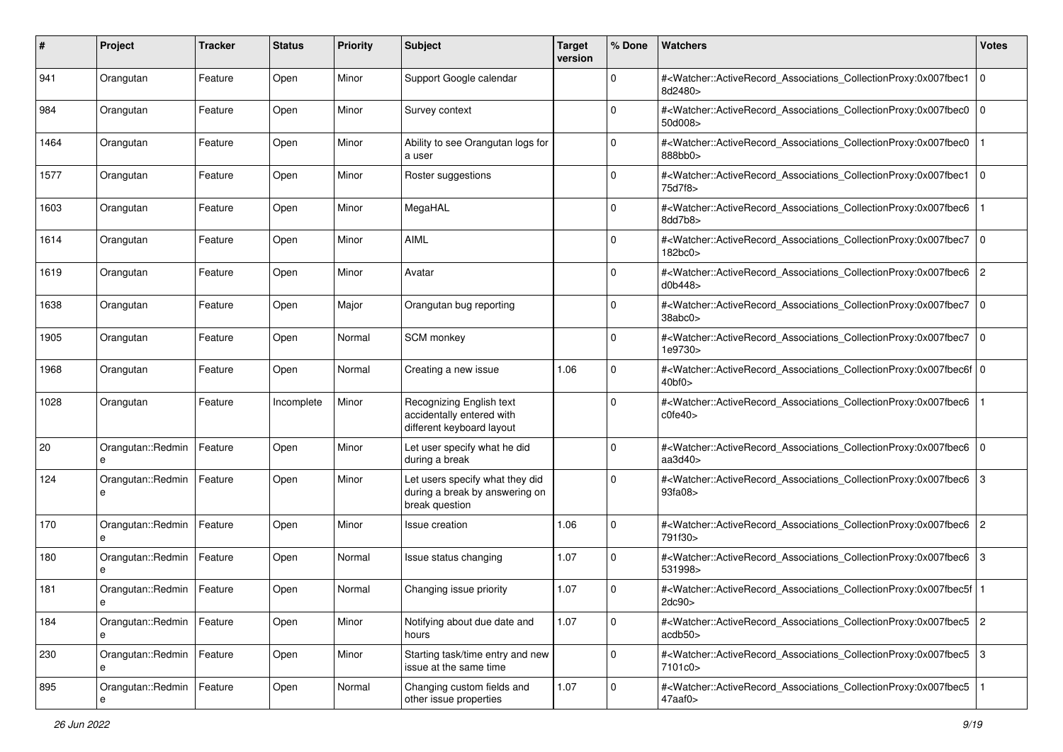| #    | Project                          | <b>Tracker</b> | <b>Status</b> | <b>Priority</b> | Subject                                                                             | <b>Target</b><br>version | % Done      | Watchers                                                                                                                                                         | <b>Votes</b>   |
|------|----------------------------------|----------------|---------------|-----------------|-------------------------------------------------------------------------------------|--------------------------|-------------|------------------------------------------------------------------------------------------------------------------------------------------------------------------|----------------|
| 941  | Orangutan                        | Feature        | Open          | Minor           | Support Google calendar                                                             |                          | $\mathbf 0$ | # <watcher::activerecord_associations_collectionproxy:0x007fbec1<br>8d2480&gt;</watcher::activerecord_associations_collectionproxy:0x007fbec1<br>                | 0              |
| 984  | Orangutan                        | Feature        | Open          | Minor           | Survey context                                                                      |                          | 0           | # <watcher::activerecord_associations_collectionproxy:0x007fbec0<br>50d008&gt;</watcher::activerecord_associations_collectionproxy:0x007fbec0<br>                | 0              |
| 1464 | Orangutan                        | Feature        | Open          | Minor           | Ability to see Orangutan logs for<br>a user                                         |                          | 0           | # <watcher::activerecord_associations_collectionproxy:0x007fbec0<br>888bb0&gt;</watcher::activerecord_associations_collectionproxy:0x007fbec0<br>                |                |
| 1577 | Orangutan                        | Feature        | Open          | Minor           | Roster suggestions                                                                  |                          | 0           | # <watcher::activerecord_associations_collectionproxy:0x007fbec1<br>75d7f8&gt;</watcher::activerecord_associations_collectionproxy:0x007fbec1<br>                | l 0            |
| 1603 | Orangutan                        | Feature        | Open          | Minor           | MegaHAL                                                                             |                          | $\Omega$    | # <watcher::activerecord_associations_collectionproxy:0x007fbec6<br>8dd7b8&gt;</watcher::activerecord_associations_collectionproxy:0x007fbec6<br>                |                |
| 1614 | Orangutan                        | Feature        | Open          | Minor           | <b>AIML</b>                                                                         |                          | $\Omega$    | # <watcher::activerecord_associations_collectionproxy:0x007fbec7<br>182bc0&gt;</watcher::activerecord_associations_collectionproxy:0x007fbec7<br>                | 0              |
| 1619 | Orangutan                        | Feature        | Open          | Minor           | Avatar                                                                              |                          | $\Omega$    | # <watcher::activerecord_associations_collectionproxy:0x007fbec6<br>d0b448&gt;</watcher::activerecord_associations_collectionproxy:0x007fbec6<br>                | $\overline{2}$ |
| 1638 | Orangutan                        | Feature        | Open          | Major           | Orangutan bug reporting                                                             |                          | $\mathbf 0$ | # <watcher::activerecord_associations_collectionproxy:0x007fbec7<br>38abc0&gt;</watcher::activerecord_associations_collectionproxy:0x007fbec7<br>                | l 0            |
| 1905 | Orangutan                        | Feature        | Open          | Normal          | SCM monkey                                                                          |                          | $\Omega$    | # <watcher::activerecord_associations_collectionproxy:0x007fbec7<br>1e9730&gt;</watcher::activerecord_associations_collectionproxy:0x007fbec7<br>                | 0              |
| 1968 | Orangutan                        | Feature        | Open          | Normal          | Creating a new issue                                                                | 1.06                     | 0           | # <watcher::activerecord_associations_collectionproxy:0x007fbec6f 0<br=""  ="">40<sub>bf0</sub></watcher::activerecord_associations_collectionproxy:0x007fbec6f> |                |
| 1028 | Orangutan                        | Feature        | Incomplete    | Minor           | Recognizing English text<br>accidentally entered with<br>different keyboard layout  |                          | $\Omega$    | # <watcher::activerecord_associations_collectionproxy:0x007fbec6<br>c0fe40</watcher::activerecord_associations_collectionproxy:0x007fbec6<br>                    |                |
| 20   | Orangutan::Redmin<br>e           | Feature        | Open          | Minor           | Let user specify what he did<br>during a break                                      |                          | $\Omega$    | # <watcher::activerecord_associations_collectionproxy:0x007fbec6<br>aa<math>3d40</math></watcher::activerecord_associations_collectionproxy:0x007fbec6<br>       | 0              |
| 124  | Orangutan::Redmin<br>e           | Feature        | Open          | Minor           | Let users specify what they did<br>during a break by answering on<br>break question |                          | $\mathbf 0$ | # <watcher::activerecord_associations_collectionproxy:0x007fbec6<br>93fa08&gt;</watcher::activerecord_associations_collectionproxy:0x007fbec6<br>                | 3              |
| 170  | Orangutan::Redmin<br>e           | Feature        | Open          | Minor           | Issue creation                                                                      | 1.06                     | $\mathbf 0$ | # <watcher::activerecord_associations_collectionproxy:0x007fbec6<br>791f30&gt;</watcher::activerecord_associations_collectionproxy:0x007fbec6<br>                | 2              |
| 180  | Orangutan::Redmin                | Feature        | Open          | Normal          | Issue status changing                                                               | 1.07                     | $\mathbf 0$ | # <watcher::activerecord_associations_collectionproxy:0x007fbec6<br>531998&gt;</watcher::activerecord_associations_collectionproxy:0x007fbec6<br>                | 3              |
| 181  | Orangutan::Redmin<br>е           | Feature        | Open          | Normal          | Changing issue priority                                                             | 1.07                     | 0           | # <watcher::activerecord_associations_collectionproxy:0x007fbec5f<br>2dc90&gt;</watcher::activerecord_associations_collectionproxy:0x007fbec5f<br>               |                |
| 184  | Orangutan::Redmin   Feature<br>е |                | Open          | Minor           | Notifying about due date and<br>hours                                               | 1.07                     | $\mathbf 0$ | # <watcher::activerecord_associations_collectionproxy:0x007fbec5 2<br="">acdb50</watcher::activerecord_associations_collectionproxy:0x007fbec5>                  |                |
| 230  | Orangutan::Redmin   Feature<br>е |                | Open          | Minor           | Starting task/time entry and new<br>issue at the same time                          |                          | $\mathbf 0$ | # <watcher::activerecord_associations_collectionproxy:0x007fbec5 3<br="">7101c0&gt;</watcher::activerecord_associations_collectionproxy:0x007fbec5>              |                |
| 895  | Orangutan::Redmin                | Feature        | Open          | Normal          | Changing custom fields and<br>other issue properties                                | 1.07                     | $\mathbf 0$ | # <watcher::activerecord_associations_collectionproxy:0x007fbec5<br>47aaf0&gt;</watcher::activerecord_associations_collectionproxy:0x007fbec5<br>                |                |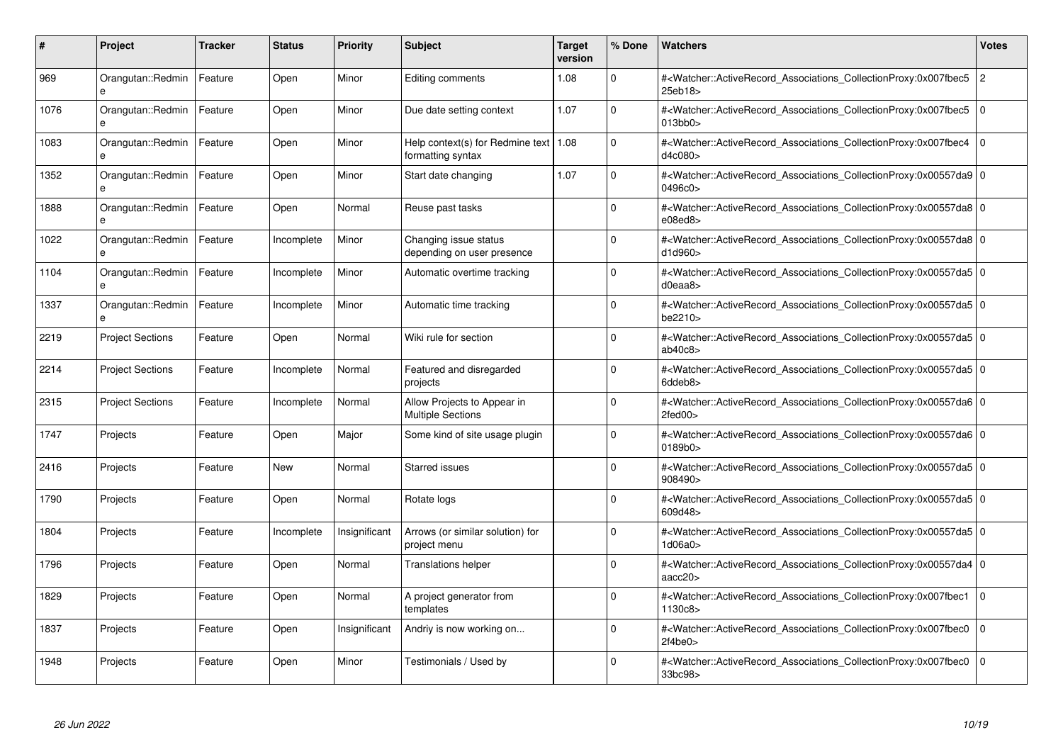| #    | Project                           | Tracker | <b>Status</b> | <b>Priority</b> | <b>Subject</b>                                          | <b>Target</b><br>version | % Done   | <b>Watchers</b>                                                                                                                                          | <b>Votes</b>   |
|------|-----------------------------------|---------|---------------|-----------------|---------------------------------------------------------|--------------------------|----------|----------------------------------------------------------------------------------------------------------------------------------------------------------|----------------|
| 969  | Orangutan::Redmin<br>$\mathbf{a}$ | Feature | Open          | Minor           | Editing comments                                        | 1.08                     | $\Omega$ | # <watcher::activerecord associations="" collectionproxy:0x007fbec5<br="">25eb18&gt;</watcher::activerecord>                                             | $\overline{c}$ |
| 1076 | Orangutan::Redmin<br>e            | Feature | Open          | Minor           | Due date setting context                                | 1.07                     | $\Omega$ | # <watcher::activerecord associations="" collectionproxy:0x007fbec5<br=""><math>013</math>bb<math>0</math></watcher::activerecord>                       | $\mathbf 0$    |
| 1083 | Orangutan::Redmin<br>e            | Feature | Open          | Minor           | Help context(s) for Redmine text<br>formatting syntax   | 1.08                     | $\Omega$ | # <watcher::activerecord_associations_collectionproxy:0x007fbec4<br>d4c080&gt;</watcher::activerecord_associations_collectionproxy:0x007fbec4<br>        | $\Omega$       |
| 1352 | Orangutan::Redmin<br>$\mathbf{a}$ | Feature | Open          | Minor           | Start date changing                                     | 1.07                     | $\Omega$ | # <watcher::activerecord_associations_collectionproxy:0x00557da9 0<br=""  ="">0496c0</watcher::activerecord_associations_collectionproxy:0x00557da9>     |                |
| 1888 | Orangutan::Redmin                 | Feature | Open          | Normal          | Reuse past tasks                                        |                          | $\Omega$ | # <watcher::activerecord_associations_collectionproxy:0x00557da8 0<br=""  ="">e08ed8</watcher::activerecord_associations_collectionproxy:0x00557da8>     |                |
| 1022 | Orangutan::Redmin<br>$\mathbf{a}$ | Feature | Incomplete    | Minor           | Changing issue status<br>depending on user presence     |                          | $\Omega$ | # <watcher::activerecord_associations_collectionproxy:0x00557da8 0<br="">d1d960&gt;</watcher::activerecord_associations_collectionproxy:0x00557da8>      |                |
| 1104 | Orangutan::Redmin                 | Feature | Incomplete    | Minor           | Automatic overtime tracking                             |                          | $\Omega$ | # <watcher::activerecord 0<br="" associations="" collectionproxy:0x00557da5=""  =""><math>d0</math>eaa<math>8</math></watcher::activerecord>             |                |
| 1337 | Orangutan::Redmin                 | Feature | Incomplete    | Minor           | Automatic time tracking                                 |                          | $\Omega$ | # <watcher::activerecord_associations_collectionproxy:0x00557da5 0<br=""  ="">be2210&gt;</watcher::activerecord_associations_collectionproxy:0x00557da5> |                |
| 2219 | <b>Project Sections</b>           | Feature | Open          | Normal          | Wiki rule for section                                   |                          | $\Omega$ | # <watcher::activerecord 0<br="" associations="" collectionproxy:0x00557da5=""  ="">ab40c8</watcher::activerecord>                                       |                |
| 2214 | <b>Project Sections</b>           | Feature | Incomplete    | Normal          | Featured and disregarded<br>projects                    |                          | $\Omega$ | # <watcher::activerecord 0<br="" associations="" collectionproxy:0x00557da5=""  ="">6ddeb8&gt;</watcher::activerecord>                                   |                |
| 2315 | <b>Project Sections</b>           | Feature | Incomplete    | Normal          | Allow Projects to Appear in<br><b>Multiple Sections</b> |                          | $\Omega$ | # <watcher::activerecord_associations_collectionproxy:0x00557da6 0<br="">2fed00&gt;</watcher::activerecord_associations_collectionproxy:0x00557da6>      |                |
| 1747 | Projects                          | Feature | Open          | Major           | Some kind of site usage plugin                          |                          | $\Omega$ | # <watcher::activerecord 0<br="" associations="" collectionproxy:0x00557da6=""  ="">0189b0&gt;</watcher::activerecord>                                   |                |
| 2416 | Projects                          | Feature | <b>New</b>    | Normal          | Starred issues                                          |                          | $\Omega$ | # <watcher::activerecord 0<br="" associations="" collectionproxy:0x00557da5=""  ="">908490&gt;</watcher::activerecord>                                   |                |
| 1790 | Projects                          | Feature | Open          | Normal          | Rotate logs                                             |                          | $\Omega$ | # <watcher::activerecord_associations_collectionproxy:0x00557da5 0<br=""  ="">609d48&gt;</watcher::activerecord_associations_collectionproxy:0x00557da5> |                |
| 1804 | Projects                          | Feature | Incomplete    | Insignificant   | Arrows (or similar solution) for<br>project menu        |                          | $\Omega$ | # <watcher::activerecord 0<br="" associations="" collectionproxy:0x00557da5=""  ="">1d06a0</watcher::activerecord>                                       |                |
| 1796 | Projects                          | Feature | Open          | Normal          | <b>Translations helper</b>                              |                          | $\Omega$ | # <watcher::activerecord_associations_collectionproxy:0x00557da4 0<br=""  ="">aacc20</watcher::activerecord_associations_collectionproxy:0x00557da4>     |                |
| 1829 | Projects                          | Feature | Open          | Normal          | A project generator from<br>templates                   |                          | $\Omega$ | # <watcher::activerecord_associations_collectionproxy:0x007fbec1<br>1130c8&gt;</watcher::activerecord_associations_collectionproxy:0x007fbec1<br>        | $\Omega$       |
| 1837 | Projects                          | Feature | Open          | Insignificant   | Andriy is now working on                                |                          | $\Omega$ | # <watcher::activerecord associations="" collectionproxy:0x007fbec0<br="">2f4be0&gt;</watcher::activerecord>                                             | $\mathbf 0$    |
| 1948 | Projects                          | Feature | Open          | Minor           | Testimonials / Used by                                  |                          | $\Omega$ | # <watcher::activerecord associations="" collectionproxy:0x007fbec0=""  <br="">33bc98&gt;</watcher::activerecord>                                        | $\mathbf 0$    |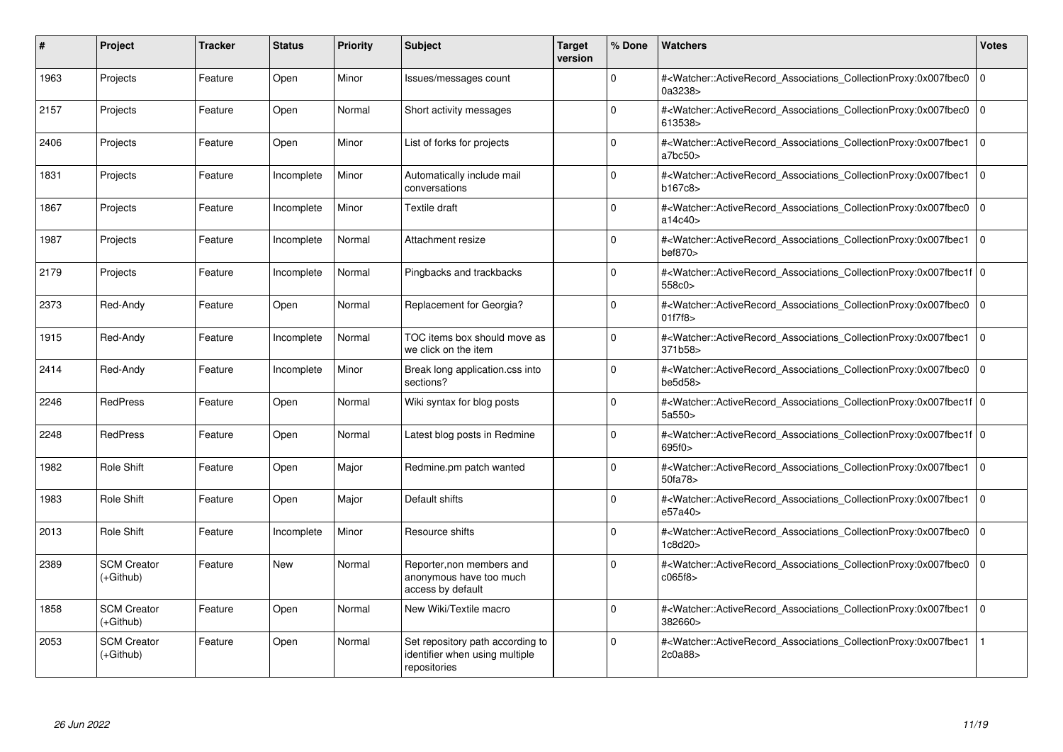| $\#$ | Project                         | <b>Tracker</b> | <b>Status</b> | <b>Priority</b> | <b>Subject</b>                                                                     | <b>Target</b><br>version | % Done   | <b>Watchers</b>                                                                                                                                              | <b>Votes</b>   |
|------|---------------------------------|----------------|---------------|-----------------|------------------------------------------------------------------------------------|--------------------------|----------|--------------------------------------------------------------------------------------------------------------------------------------------------------------|----------------|
| 1963 | Projects                        | Feature        | Open          | Minor           | Issues/messages count                                                              |                          | $\Omega$ | # <watcher::activerecord_associations_collectionproxy:0x007fbec0<br>0a3238&gt;</watcher::activerecord_associations_collectionproxy:0x007fbec0<br>            | $\overline{0}$ |
| 2157 | Projects                        | Feature        | Open          | Normal          | Short activity messages                                                            |                          | $\Omega$ | # <watcher::activerecord_associations_collectionproxy:0x007fbec0<br>613538&gt;</watcher::activerecord_associations_collectionproxy:0x007fbec0<br>            | $\overline{0}$ |
| 2406 | Projects                        | Feature        | Open          | Minor           | List of forks for projects                                                         |                          | $\Omega$ | # <watcher::activerecord associations="" collectionproxy:0x007fbec1<br="">a7bc50</watcher::activerecord>                                                     | 0              |
| 1831 | Projects                        | Feature        | Incomplete    | Minor           | Automatically include mail<br>conversations                                        |                          | $\Omega$ | # <watcher::activerecord_associations_collectionproxy:0x007fbec1<br>b167c8&gt;</watcher::activerecord_associations_collectionproxy:0x007fbec1<br>            | 0              |
| 1867 | Projects                        | Feature        | Incomplete    | Minor           | Textile draft                                                                      |                          | $\Omega$ | # <watcher::activerecord_associations_collectionproxy:0x007fbec0<br>a14c40&gt;</watcher::activerecord_associations_collectionproxy:0x007fbec0<br>            | $\overline{0}$ |
| 1987 | Projects                        | Feature        | Incomplete    | Normal          | Attachment resize                                                                  |                          | $\Omega$ | # <watcher::activerecord_associations_collectionproxy:0x007fbec1<br>bef870<sub>&gt;</sub></watcher::activerecord_associations_collectionproxy:0x007fbec1<br> | $\overline{0}$ |
| 2179 | Projects                        | Feature        | Incomplete    | Normal          | Pingbacks and trackbacks                                                           |                          | $\Omega$ | # <watcher::activerecord_associations_collectionproxy:0x007fbec1f 0<br=""  ="">558c0 &gt;</watcher::activerecord_associations_collectionproxy:0x007fbec1f>   |                |
| 2373 | Red-Andy                        | Feature        | Open          | Normal          | Replacement for Georgia?                                                           |                          | $\Omega$ | # <watcher::activerecord_associations_collectionproxy:0x007fbec0<br>01f7f8 &gt;</watcher::activerecord_associations_collectionproxy:0x007fbec0<br>           | $\Omega$       |
| 1915 | Red-Andy                        | Feature        | Incomplete    | Normal          | TOC items box should move as<br>we click on the item                               |                          | $\Omega$ | # <watcher::activerecord_associations_collectionproxy:0x007fbec1<br>371b58&gt;</watcher::activerecord_associations_collectionproxy:0x007fbec1<br>            | $\overline{0}$ |
| 2414 | Red-Andy                        | Feature        | Incomplete    | Minor           | Break long application.css into<br>sections?                                       |                          | $\Omega$ | # <watcher::activerecord_associations_collectionproxy:0x007fbec0<br>be5d58</watcher::activerecord_associations_collectionproxy:0x007fbec0<br>                | $\overline{0}$ |
| 2246 | <b>RedPress</b>                 | Feature        | Open          | Normal          | Wiki syntax for blog posts                                                         |                          | $\Omega$ | # <watcher::activerecord_associations_collectionproxy:0x007fbec1f 0<br=""  ="">5a550&gt;</watcher::activerecord_associations_collectionproxy:0x007fbec1f>    |                |
| 2248 | <b>RedPress</b>                 | Feature        | Open          | Normal          | Latest blog posts in Redmine                                                       |                          | $\Omega$ | # <watcher::activerecord 0<br="" associations="" collectionproxy:0x007fbec1f=""  ="">695f0&gt;</watcher::activerecord>                                       |                |
| 1982 | Role Shift                      | Feature        | Open          | Major           | Redmine.pm patch wanted                                                            |                          | $\Omega$ | # <watcher::activerecord associations="" collectionproxy:0x007fbec1<br="">50fa78&gt;</watcher::activerecord>                                                 | 0              |
| 1983 | Role Shift                      | Feature        | Open          | Major           | Default shifts                                                                     |                          | $\Omega$ | # <watcher::activerecord associations="" collectionproxy:0x007fbec1<br="">e57a40&gt;</watcher::activerecord>                                                 | $\overline{0}$ |
| 2013 | Role Shift                      | Feature        | Incomplete    | Minor           | Resource shifts                                                                    |                          | $\Omega$ | # <watcher::activerecord associations="" collectionproxy:0x007fbec0<br="">1c8d20&gt;</watcher::activerecord>                                                 | $\overline{0}$ |
| 2389 | <b>SCM Creator</b><br>(+Github) | Feature        | <b>New</b>    | Normal          | Reporter, non members and<br>anonymous have too much<br>access by default          |                          | $\Omega$ | # <watcher::activerecord_associations_collectionproxy:0x007fbec0<br>c065f8&gt;</watcher::activerecord_associations_collectionproxy:0x007fbec0<br>            | $\Omega$       |
| 1858 | <b>SCM Creator</b><br>(+Github) | Feature        | Open          | Normal          | New Wiki/Textile macro                                                             |                          | $\Omega$ | # <watcher::activerecord_associations_collectionproxy:0x007fbec1<br>382660&gt;</watcher::activerecord_associations_collectionproxy:0x007fbec1<br>            | $\overline{0}$ |
| 2053 | <b>SCM Creator</b><br>(+Github) | Feature        | Open          | Normal          | Set repository path according to<br>identifier when using multiple<br>repositories |                          | $\Omega$ | # <watcher::activerecord associations="" collectionproxy:0x007fbec1<br="">2c0a88&gt;</watcher::activerecord>                                                 |                |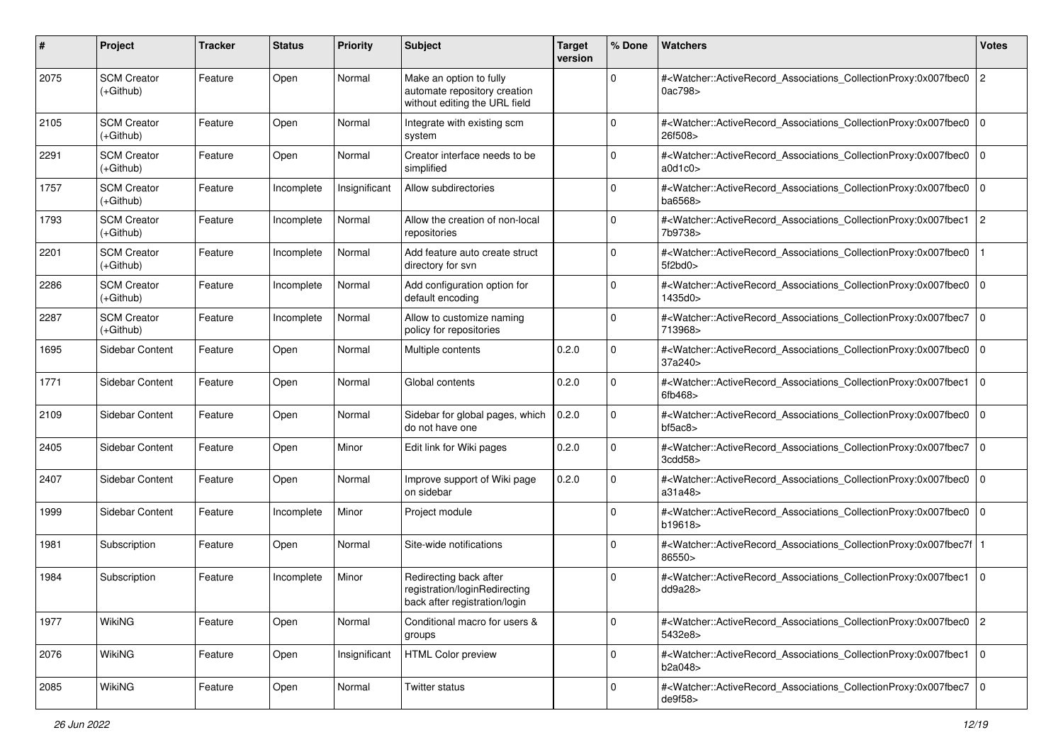| #    | Project                           | <b>Tracker</b> | <b>Status</b> | <b>Priority</b> | <b>Subject</b>                                                                           | <b>Target</b><br>version | % Done      | Watchers                                                                                                                                                  | <b>Votes</b>   |
|------|-----------------------------------|----------------|---------------|-----------------|------------------------------------------------------------------------------------------|--------------------------|-------------|-----------------------------------------------------------------------------------------------------------------------------------------------------------|----------------|
| 2075 | <b>SCM Creator</b><br>$(+Github)$ | Feature        | Open          | Normal          | Make an option to fully<br>automate repository creation<br>without editing the URL field |                          | $\Omega$    | # <watcher::activerecord_associations_collectionproxy:0x007fbec0<br>0ac798&gt;</watcher::activerecord_associations_collectionproxy:0x007fbec0<br>         | $ 2\rangle$    |
| 2105 | <b>SCM Creator</b><br>(+Github)   | Feature        | Open          | Normal          | Integrate with existing scm<br>system                                                    |                          | $\mathbf 0$ | # <watcher::activerecord_associations_collectionproxy:0x007fbec0<br>26f508&gt;</watcher::activerecord_associations_collectionproxy:0x007fbec0<br>         | $\overline{0}$ |
| 2291 | <b>SCM Creator</b><br>$(+Github)$ | Feature        | Open          | Normal          | Creator interface needs to be<br>simplified                                              |                          | $\Omega$    | # <watcher::activerecord_associations_collectionproxy:0x007fbec0<br>a0d1c0</watcher::activerecord_associations_collectionproxy:0x007fbec0<br>             | $\overline{0}$ |
| 1757 | <b>SCM Creator</b><br>(+Github)   | Feature        | Incomplete    | Insignificant   | Allow subdirectories                                                                     |                          | 0           | # <watcher::activerecord_associations_collectionproxy:0x007fbec0<br>ba6568&gt;</watcher::activerecord_associations_collectionproxy:0x007fbec0<br>         | $\overline{0}$ |
| 1793 | <b>SCM Creator</b><br>(+Github)   | Feature        | Incomplete    | Normal          | Allow the creation of non-local<br>repositories                                          |                          | 0           | # <watcher::activerecord_associations_collectionproxy:0x007fbec1<br>7b9738&gt;</watcher::activerecord_associations_collectionproxy:0x007fbec1<br>         | <u> 2</u>      |
| 2201 | <b>SCM Creator</b><br>$(+Github)$ | Feature        | Incomplete    | Normal          | Add feature auto create struct<br>directory for svn                                      |                          | $\Omega$    | # <watcher::activerecord_associations_collectionproxy:0x007fbec0<br>5f2bd0&gt;</watcher::activerecord_associations_collectionproxy:0x007fbec0<br>         |                |
| 2286 | <b>SCM Creator</b><br>$(+Github)$ | Feature        | Incomplete    | Normal          | Add configuration option for<br>default encoding                                         |                          | $\Omega$    | # <watcher::activerecord_associations_collectionproxy:0x007fbec0<br>1435d0&gt;</watcher::activerecord_associations_collectionproxy:0x007fbec0<br>         | l 0            |
| 2287 | <b>SCM Creator</b><br>(+Github)   | Feature        | Incomplete    | Normal          | Allow to customize naming<br>policy for repositories                                     |                          | $\mathbf 0$ | # <watcher::activerecord_associations_collectionproxy:0x007fbec7<br>713968&gt;</watcher::activerecord_associations_collectionproxy:0x007fbec7<br>         | $\overline{0}$ |
| 1695 | Sidebar Content                   | Feature        | Open          | Normal          | Multiple contents                                                                        | 0.2.0                    | $\mathbf 0$ | # <watcher::activerecord_associations_collectionproxy:0x007fbec0<br>37a240&gt;</watcher::activerecord_associations_collectionproxy:0x007fbec0<br>         | $\overline{0}$ |
| 1771 | Sidebar Content                   | Feature        | Open          | Normal          | Global contents                                                                          | 0.2.0                    | $\Omega$    | # <watcher::activerecord_associations_collectionproxy:0x007fbec1<br>6fb468&gt;</watcher::activerecord_associations_collectionproxy:0x007fbec1<br>         | $\overline{0}$ |
| 2109 | Sidebar Content                   | Feature        | Open          | Normal          | Sidebar for global pages, which<br>do not have one                                       | 0.2.0                    | $\Omega$    | # <watcher::activerecord_associations_collectionproxy:0x007fbec0<br>b5ac8</watcher::activerecord_associations_collectionproxy:0x007fbec0<br>              | l 0            |
| 2405 | Sidebar Content                   | Feature        | Open          | Minor           | Edit link for Wiki pages                                                                 | 0.2.0                    | $\mathbf 0$ | # <watcher::activerecord_associations_collectionproxy:0x007fbec7<br>3cdd58&gt;</watcher::activerecord_associations_collectionproxy:0x007fbec7<br>         | $\overline{0}$ |
| 2407 | Sidebar Content                   | Feature        | Open          | Normal          | Improve support of Wiki page<br>on sidebar                                               | 0.2.0                    | $\mathbf 0$ | # <watcher::activerecord_associations_collectionproxy:0x007fbec0<br>a31a48</watcher::activerecord_associations_collectionproxy:0x007fbec0<br>             | $\overline{0}$ |
| 1999 | Sidebar Content                   | Feature        | Incomplete    | Minor           | Project module                                                                           |                          | $\Omega$    | # <watcher::activerecord_associations_collectionproxy:0x007fbec0<br>b19618&gt;</watcher::activerecord_associations_collectionproxy:0x007fbec0<br>         | $\overline{0}$ |
| 1981 | Subscription                      | Feature        | Open          | Normal          | Site-wide notifications                                                                  |                          | $\Omega$    | # <watcher::activerecord_associations_collectionproxy:0x007fbec7f 1<br=""  ="">86550&gt;</watcher::activerecord_associations_collectionproxy:0x007fbec7f> |                |
| 1984 | Subscription                      | Feature        | Incomplete    | Minor           | Redirecting back after<br>registration/loginRedirecting<br>back after registration/login |                          | $\Omega$    | # <watcher::activerecord_associations_collectionproxy:0x007fbec1<br>dd9a28&gt;</watcher::activerecord_associations_collectionproxy:0x007fbec1<br>         | l 0            |
| 1977 | <b>WikiNG</b>                     | Feature        | Open          | Normal          | Conditional macro for users &<br>groups                                                  |                          | $\mathbf 0$ | # <watcher::activerecord_associations_collectionproxy:0x007fbec0 2<br="">5432e8&gt;</watcher::activerecord_associations_collectionproxy:0x007fbec0>       |                |
| 2076 | WikiNG                            | Feature        | Open          | Insignificant   | HTML Color preview                                                                       |                          | $\mathbf 0$ | # <watcher::activerecord_associations_collectionproxy:0x007fbec1 0<br="">b2a048&gt;</watcher::activerecord_associations_collectionproxy:0x007fbec1>       |                |
| 2085 | WikiNG                            | Feature        | Open          | Normal          | Twitter status                                                                           |                          | 0           | # <watcher::activerecord 0<br="" associations="" collectionproxy:0x007fbec7="">de9f58&gt;</watcher::activerecord>                                         |                |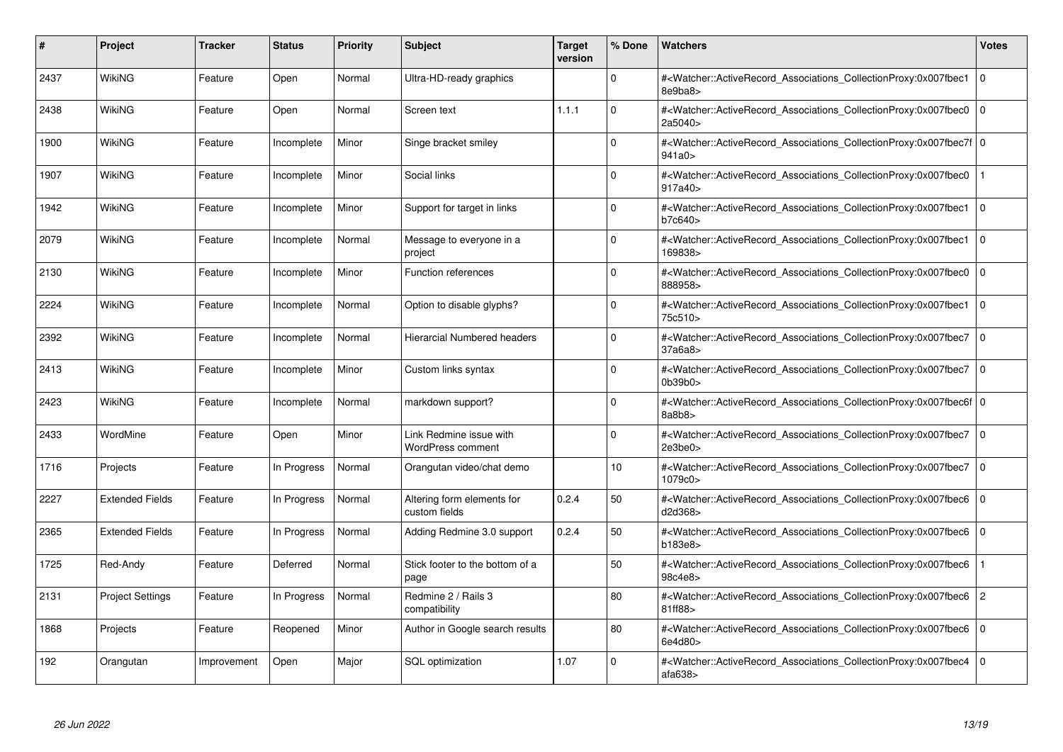| #    | Project                 | Tracker     | <b>Status</b> | <b>Priority</b> | <b>Subject</b>                                      | <b>Target</b><br>version | % Done   | <b>Watchers</b>                                                                                                                                            | <b>Votes</b>   |
|------|-------------------------|-------------|---------------|-----------------|-----------------------------------------------------|--------------------------|----------|------------------------------------------------------------------------------------------------------------------------------------------------------------|----------------|
| 2437 | WikiNG                  | Feature     | Open          | Normal          | Ultra-HD-ready graphics                             |                          | $\Omega$ | # <watcher::activerecord associations="" collectionproxy:0x007fbec1<br="">8e9ba8&gt;</watcher::activerecord>                                               | $\mathbf 0$    |
| 2438 | WikiNG                  | Feature     | Open          | Normal          | Screen text                                         | 1.1.1                    | $\Omega$ | # <watcher::activerecord associations="" collectionproxy:0x007fbec0<br="">2a5040&gt;</watcher::activerecord>                                               | $\mathbf 0$    |
| 1900 | WikiNG                  | Feature     | Incomplete    | Minor           | Singe bracket smiley                                |                          | $\Omega$ | # <watcher::activerecord_associations_collectionproxy:0x007fbec7f 0<br=""  ="">941a0 &gt;</watcher::activerecord_associations_collectionproxy:0x007fbec7f> |                |
| 1907 | WikiNG                  | Feature     | Incomplete    | Minor           | Social links                                        |                          | $\Omega$ | # <watcher::activerecord associations="" collectionproxy:0x007fbec0<br="">917a40&gt;</watcher::activerecord>                                               |                |
| 1942 | WikiNG                  | Feature     | Incomplete    | Minor           | Support for target in links                         |                          | $\Omega$ | # <watcher::activerecord_associations_collectionproxy:0x007fbec1<br>b7c640&gt;</watcher::activerecord_associations_collectionproxy:0x007fbec1<br>          | $\mathbf 0$    |
| 2079 | WikiNG                  | Feature     | Incomplete    | Normal          | Message to everyone in a<br>project                 |                          | $\Omega$ | # <watcher::activerecord_associations_collectionproxy:0x007fbec1<br>169838&gt;</watcher::activerecord_associations_collectionproxy:0x007fbec1<br>          | $\Omega$       |
| 2130 | WikiNG                  | Feature     | Incomplete    | Minor           | <b>Function references</b>                          |                          | $\Omega$ | # <watcher::activerecord associations="" collectionproxy:0x007fbec0<br="">888958&gt;</watcher::activerecord>                                               | $\mathbf 0$    |
| 2224 | WikiNG                  | Feature     | Incomplete    | Normal          | Option to disable glyphs?                           |                          | $\Omega$ | # <watcher::activerecord_associations_collectionproxy:0x007fbec1  <br="">75c510&gt;</watcher::activerecord_associations_collectionproxy:0x007fbec1>        | $\mathbf 0$    |
| 2392 | WikiNG                  | Feature     | Incomplete    | Normal          | Hierarcial Numbered headers                         |                          | $\Omega$ | # <watcher::activerecord associations="" collectionproxy:0x007fbec7<br="">37a6a8&gt;</watcher::activerecord>                                               | $\mathbf 0$    |
| 2413 | WikiNG                  | Feature     | Incomplete    | Minor           | Custom links syntax                                 |                          | $\Omega$ | # <watcher::activerecord 0<br="" associations="" collectionproxy:0x007fbec7=""  ="">0b39b0</watcher::activerecord>                                         |                |
| 2423 | <b>WikiNG</b>           | Feature     | Incomplete    | Normal          | markdown support?                                   |                          | $\Omega$ | # <watcher::activerecord_associations_collectionproxy:0x007fbec6f 0<br=""  ="">8a8b8</watcher::activerecord_associations_collectionproxy:0x007fbec6f>      |                |
| 2433 | WordMine                | Feature     | Open          | Minor           | Link Redmine issue with<br><b>WordPress comment</b> |                          | $\Omega$ | # <watcher::activerecord_associations_collectionproxy:0x007fbec7 0<br=""  ="">2e3be0</watcher::activerecord_associations_collectionproxy:0x007fbec7>       |                |
| 1716 | Projects                | Feature     | In Progress   | Normal          | Orangutan video/chat demo                           |                          | 10       | # <watcher::activerecord associations="" collectionproxy:0x007fbec7<br="">1079c0&gt;</watcher::activerecord>                                               | $\mathbf 0$    |
| 2227 | <b>Extended Fields</b>  | Feature     | In Progress   | Normal          | Altering form elements for<br>custom fields         | 0.2.4                    | 50       | # <watcher::activerecord_associations_collectionproxy:0x007fbec6<br>d2d368&gt;</watcher::activerecord_associations_collectionproxy:0x007fbec6<br>          | $\Omega$       |
| 2365 | <b>Extended Fields</b>  | Feature     | In Progress   | Normal          | Adding Redmine 3.0 support                          | 0.2.4                    | 50       | # <watcher::activerecord associations="" collectionproxy:0x007fbec6<br="">b183e8</watcher::activerecord>                                                   | $\mathbf 0$    |
| 1725 | Red-Andy                | Feature     | Deferred      | Normal          | Stick footer to the bottom of a<br>page             |                          | 50       | # <watcher::activerecord_associations_collectionproxy:0x007fbec6<br>98c4e8&gt;</watcher::activerecord_associations_collectionproxy:0x007fbec6<br>          |                |
| 2131 | <b>Project Settings</b> | Feature     | In Progress   | Normal          | Redmine 2 / Rails 3<br>compatibility                |                          | 80       | # <watcher::activerecord_associations_collectionproxy:0x007fbec6<br>81ff88&gt;</watcher::activerecord_associations_collectionproxy:0x007fbec6<br>          | $\overline{c}$ |
| 1868 | Projects                | Feature     | Reopened      | Minor           | Author in Google search results                     |                          | 80       | # <watcher::activerecord associations="" collectionproxy:0x007fbec6<br="">6e4d80&gt;</watcher::activerecord>                                               | $\mathbf 0$    |
| 192  | Orangutan               | Improvement | Open          | Major           | <b>SQL</b> optimization                             | 1.07                     | $\Omega$ | # <watcher::activerecord associations="" collectionproxy:0x007fbec4<br="">afa638</watcher::activerecord>                                                   | $\Omega$       |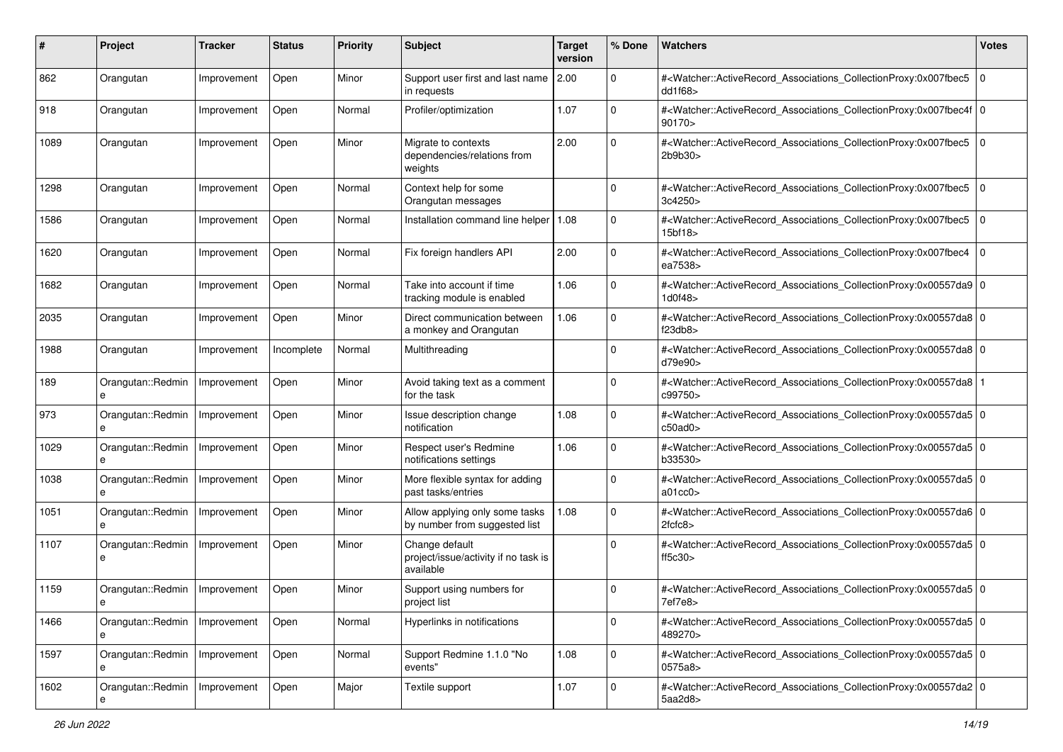| #    | Project                | <b>Tracker</b> | <b>Status</b> | <b>Priority</b> | <b>Subject</b>                                                      | <b>Target</b><br>version | % Done      | Watchers                                                                                                                                                                      | <b>Votes</b> |
|------|------------------------|----------------|---------------|-----------------|---------------------------------------------------------------------|--------------------------|-------------|-------------------------------------------------------------------------------------------------------------------------------------------------------------------------------|--------------|
| 862  | Orangutan              | Improvement    | Open          | Minor           | Support user first and last name<br>in requests                     | 2.00                     | $\mathbf 0$ | # <watcher::activerecord_associations_collectionproxy:0x007fbec5<br>dd1f68&gt;</watcher::activerecord_associations_collectionproxy:0x007fbec5<br>                             | $\mathbf 0$  |
| 918  | Orangutan              | Improvement    | Open          | Normal          | Profiler/optimization                                               | 1.07                     | $\Omega$    | # <watcher::activerecord_associations_collectionproxy:0x007fbec4f 0<br=""  ="">90170&gt;</watcher::activerecord_associations_collectionproxy:0x007fbec4f>                     |              |
| 1089 | Orangutan              | Improvement    | Open          | Minor           | Migrate to contexts<br>dependencies/relations from<br>weights       | 2.00                     | $\Omega$    | # <watcher::activerecord_associations_collectionproxy:0x007fbec5 0<br=""  ="">2b9b30&gt;</watcher::activerecord_associations_collectionproxy:0x007fbec5>                      |              |
| 1298 | Orangutan              | Improvement    | Open          | Normal          | Context help for some<br>Orangutan messages                         |                          | 0           | # <watcher::activerecord_associations_collectionproxy:0x007fbec5<br>3c4250&gt;</watcher::activerecord_associations_collectionproxy:0x007fbec5<br>                             | $\mathbf 0$  |
| 1586 | Orangutan              | Improvement    | Open          | Normal          | Installation command line helper                                    | 1.08                     | $\mathbf 0$ | # <watcher::activerecord_associations_collectionproxy:0x007fbec5<br>15<sub>bf18&gt;</sub></watcher::activerecord_associations_collectionproxy:0x007fbec5<br>                  | $\mathbf 0$  |
| 1620 | Orangutan              | Improvement    | Open          | Normal          | Fix foreign handlers API                                            | 2.00                     | $\mathbf 0$ | # <watcher::activerecord_associations_collectionproxy:0x007fbec4<br>ea7538&gt;</watcher::activerecord_associations_collectionproxy:0x007fbec4<br>                             | $\mathbf 0$  |
| 1682 | Orangutan              | Improvement    | Open          | Normal          | Take into account if time<br>tracking module is enabled             | 1.06                     | $\Omega$    | # <watcher::activerecord_associations_collectionproxy:0x00557da9 0<br=""  ="">1d0f48&gt;</watcher::activerecord_associations_collectionproxy:0x00557da9>                      |              |
| 2035 | Orangutan              | Improvement    | Open          | Minor           | Direct communication between<br>a monkey and Orangutan              | 1.06                     | $\mathbf 0$ | # <watcher::activerecord_associations_collectionproxy:0x00557da8 0<br=""  ="">f23db8&gt;</watcher::activerecord_associations_collectionproxy:0x00557da8>                      |              |
| 1988 | Orangutan              | Improvement    | Incomplete    | Normal          | Multithreading                                                      |                          | $\mathbf 0$ | # <watcher::activerecord_associations_collectionproxy:0x00557da8 0<br=""  ="">d79e90&gt;</watcher::activerecord_associations_collectionproxy:0x00557da8>                      |              |
| 189  | Orangutan::Redmin<br>e | Improvement    | Open          | Minor           | Avoid taking text as a comment<br>for the task                      |                          | $\mathbf 0$ | # <watcher::activerecord_associations_collectionproxy:0x00557da8<br>c99750&gt;</watcher::activerecord_associations_collectionproxy:0x00557da8<br>                             |              |
| 973  | Orangutan::Redmin<br>e | Improvement    | Open          | Minor           | Issue description change<br>notification                            | 1.08                     | $\Omega$    | # <watcher::activerecord_associations_collectionproxy:0x00557da5 0<br=""><math>c50</math>ad<math>0&gt;</math></watcher::activerecord_associations_collectionproxy:0x00557da5> |              |
| 1029 | Orangutan::Redmin<br>e | Improvement    | Open          | Minor           | Respect user's Redmine<br>notifications settings                    | 1.06                     | $\mathbf 0$ | # <watcher::activerecord_associations_collectionproxy:0x00557da5 0<br=""  ="">b33530&gt;</watcher::activerecord_associations_collectionproxy:0x00557da5>                      |              |
| 1038 | Orangutan::Redmin<br>e | Improvement    | Open          | Minor           | More flexible syntax for adding<br>past tasks/entries               |                          | $\mathbf 0$ | # <watcher::activerecord_associations_collectionproxy:0x00557da5 0<br="">a01cc0</watcher::activerecord_associations_collectionproxy:0x00557da5>                               |              |
| 1051 | Orangutan::Redmin      | Improvement    | Open          | Minor           | Allow applying only some tasks<br>by number from suggested list     | 1.08                     | 0           | # <watcher::activerecord_associations_collectionproxy:0x00557da6 0<br="">2fcfc8</watcher::activerecord_associations_collectionproxy:0x00557da6>                               |              |
| 1107 | Orangutan::Redmin<br>e | Improvement    | Open          | Minor           | Change default<br>project/issue/activity if no task is<br>available |                          | $\Omega$    | # <watcher::activerecord_associations_collectionproxy:0x00557da5 0<br=""  ="">ff5c30&gt;</watcher::activerecord_associations_collectionproxy:0x00557da5>                      |              |
| 1159 | Orangutan::Redmin      | Improvement    | Open          | Minor           | Support using numbers for<br>project list                           |                          | 0           | # <watcher::activerecord_associations_collectionproxy:0x00557da5 0<br="">7ef7e8&gt;</watcher::activerecord_associations_collectionproxy:0x00557da5>                           |              |
| 1466 | Orangutan::Redmin<br>e | Improvement    | Open          | Normal          | Hyperlinks in notifications                                         |                          | 0           | # <watcher::activerecord_associations_collectionproxy:0x00557da5 0<br=""  ="">489270&gt;</watcher::activerecord_associations_collectionproxy:0x00557da5>                      |              |
| 1597 | Orangutan::Redmin<br>е | Improvement    | Open          | Normal          | Support Redmine 1.1.0 "No<br>events"                                | 1.08                     | $\mathbf 0$ | # <watcher::activerecord_associations_collectionproxy:0x00557da5 0<br="">0575a8&gt;</watcher::activerecord_associations_collectionproxy:0x00557da5>                           |              |
| 1602 | Orangutan::Redmin      | Improvement    | Open          | Major           | Textile support                                                     | 1.07                     | $\mathbf 0$ | # <watcher::activerecord 0<br="" associations="" collectionproxy:0x00557da2="">5aa2d8&gt;</watcher::activerecord>                                                             |              |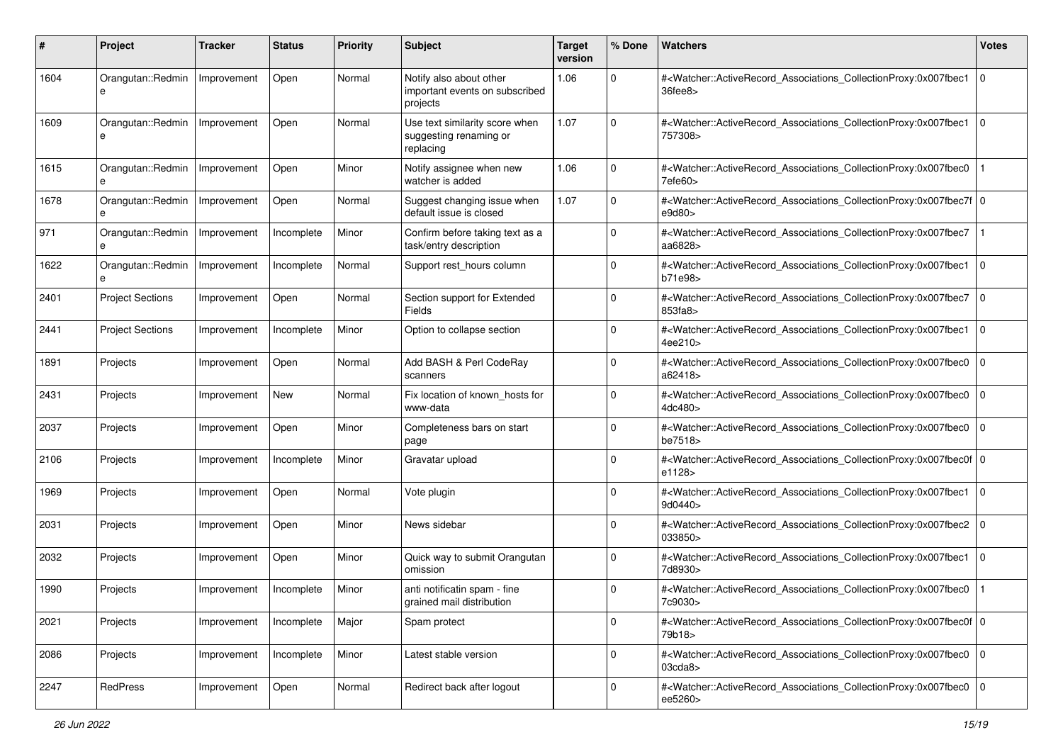| #    | Project                 | <b>Tracker</b> | <b>Status</b> | <b>Priority</b> | Subject                                                               | <b>Target</b><br>version | % Done      | Watchers                                                                                                                                                  | <b>Votes</b> |
|------|-------------------------|----------------|---------------|-----------------|-----------------------------------------------------------------------|--------------------------|-------------|-----------------------------------------------------------------------------------------------------------------------------------------------------------|--------------|
| 1604 | Orangutan::Redmin<br>e  | Improvement    | Open          | Normal          | Notify also about other<br>important events on subscribed<br>projects | 1.06                     | 0           | # <watcher::activerecord_associations_collectionproxy:0x007fbec1<br>36fee8&gt;</watcher::activerecord_associations_collectionproxy:0x007fbec1<br>         | $\mathbf 0$  |
| 1609 | Orangutan::Redmin<br>e  | Improvement    | Open          | Normal          | Use text similarity score when<br>suggesting renaming or<br>replacing | 1.07                     | $\mathbf 0$ | # <watcher::activerecord_associations_collectionproxy:0x007fbec1 0<br=""  ="">757308&gt;</watcher::activerecord_associations_collectionproxy:0x007fbec1>  |              |
| 1615 | Orangutan::Redmin<br>e  | Improvement    | Open          | Minor           | Notify assignee when new<br>watcher is added                          | 1.06                     | $\mathbf 0$ | # <watcher::activerecord_associations_collectionproxy:0x007fbec0<br>7efe60&gt;</watcher::activerecord_associations_collectionproxy:0x007fbec0<br>         |              |
| 1678 | Orangutan::Redmin       | Improvement    | Open          | Normal          | Suggest changing issue when<br>default issue is closed                | 1.07                     | $\mathbf 0$ | # <watcher::activerecord_associations_collectionproxy:0x007fbec7f 0<br=""  ="">e9d80&gt;</watcher::activerecord_associations_collectionproxy:0x007fbec7f> |              |
| 971  | Orangutan::Redmin<br>e  | Improvement    | Incomplete    | Minor           | Confirm before taking text as a<br>task/entry description             |                          | $\Omega$    | # <watcher::activerecord_associations_collectionproxy:0x007fbec7<br>aa6828&gt;</watcher::activerecord_associations_collectionproxy:0x007fbec7<br>         |              |
| 1622 | Orangutan::Redmin<br>e  | Improvement    | Incomplete    | Normal          | Support rest_hours column                                             |                          | $\Omega$    | # <watcher::activerecord_associations_collectionproxy:0x007fbec1<br>b71e98&gt;</watcher::activerecord_associations_collectionproxy:0x007fbec1<br>         | $\mathbf 0$  |
| 2401 | <b>Project Sections</b> | Improvement    | Open          | Normal          | Section support for Extended<br>Fields                                |                          | $\Omega$    | # <watcher::activerecord_associations_collectionproxy:0x007fbec7<br>853fa8&gt;</watcher::activerecord_associations_collectionproxy:0x007fbec7<br>         | $\mathbf 0$  |
| 2441 | <b>Project Sections</b> | Improvement    | Incomplete    | Minor           | Option to collapse section                                            |                          | $\Omega$    | # <watcher::activerecord_associations_collectionproxy:0x007fbec1<br>4ee210&gt;</watcher::activerecord_associations_collectionproxy:0x007fbec1<br>         | $\Omega$     |
| 1891 | Projects                | Improvement    | Open          | Normal          | Add BASH & Perl CodeRay<br>scanners                                   |                          | $\Omega$    | # <watcher::activerecord_associations_collectionproxy:0x007fbec0<br>a62418&gt;</watcher::activerecord_associations_collectionproxy:0x007fbec0<br>         | $\Omega$     |
| 2431 | Projects                | Improvement    | <b>New</b>    | Normal          | Fix location of known hosts for<br>www-data                           |                          | $\mathbf 0$ | # <watcher::activerecord_associations_collectionproxy:0x007fbec0<br>4dc480&gt;</watcher::activerecord_associations_collectionproxy:0x007fbec0<br>         | $\Omega$     |
| 2037 | Projects                | Improvement    | Open          | Minor           | Completeness bars on start<br>page                                    |                          | $\Omega$    | # <watcher::activerecord_associations_collectionproxy:0x007fbec0<br>be7518&gt;</watcher::activerecord_associations_collectionproxy:0x007fbec0<br>         | $\mathbf 0$  |
| 2106 | Projects                | Improvement    | Incomplete    | Minor           | Gravatar upload                                                       |                          | $\Omega$    | # <watcher::activerecord_associations_collectionproxy:0x007fbec0f 0<br=""  ="">e1128&gt;</watcher::activerecord_associations_collectionproxy:0x007fbec0f> |              |
| 1969 | Projects                | Improvement    | Open          | Normal          | Vote plugin                                                           |                          | 0           | # <watcher::activerecord_associations_collectionproxy:0x007fbec1<br>9d0440&gt;</watcher::activerecord_associations_collectionproxy:0x007fbec1<br>         | $\mathbf 0$  |
| 2031 | Projects                | Improvement    | Open          | Minor           | News sidebar                                                          |                          | 0           | # <watcher::activerecord_associations_collectionproxy:0x007fbec2<br>033850&gt;</watcher::activerecord_associations_collectionproxy:0x007fbec2<br>         | $\mathbf 0$  |
| 2032 | Projects                | Improvement    | Open          | Minor           | Quick way to submit Orangutan<br>omission                             |                          | $\Omega$    | # <watcher::activerecord_associations_collectionproxy:0x007fbec1<br>7d8930&gt;</watcher::activerecord_associations_collectionproxy:0x007fbec1<br>         | $\Omega$     |
| 1990 | Projects                | Improvement    | Incomplete    | Minor           | anti notificatin spam - fine<br>grained mail distribution             |                          | $\Omega$    | # <watcher::activerecord_associations_collectionproxy:0x007fbec0<br>7c9030&gt;</watcher::activerecord_associations_collectionproxy:0x007fbec0<br>         |              |
| 2021 | Projects                | Improvement    | Incomplete    | Major           | Spam protect                                                          |                          | 0           | # <watcher::activerecord_associations_collectionproxy:0x007fbec0f 0<br=""  ="">79b18&gt;</watcher::activerecord_associations_collectionproxy:0x007fbec0f> |              |
| 2086 | Projects                | Improvement    | Incomplete    | Minor           | Latest stable version                                                 |                          | $\mathbf 0$ | # <watcher::activerecord 0<br="" associations="" collectionproxy:0x007fbec0="">03cda8</watcher::activerecord>                                             |              |
| 2247 | RedPress                | Improvement    | Open          | Normal          | Redirect back after logout                                            |                          | $\Omega$    | # <watcher::activerecord_associations_collectionproxy:0x007fbec0 0<br=""  ="">ee5260&gt;</watcher::activerecord_associations_collectionproxy:0x007fbec0>  |              |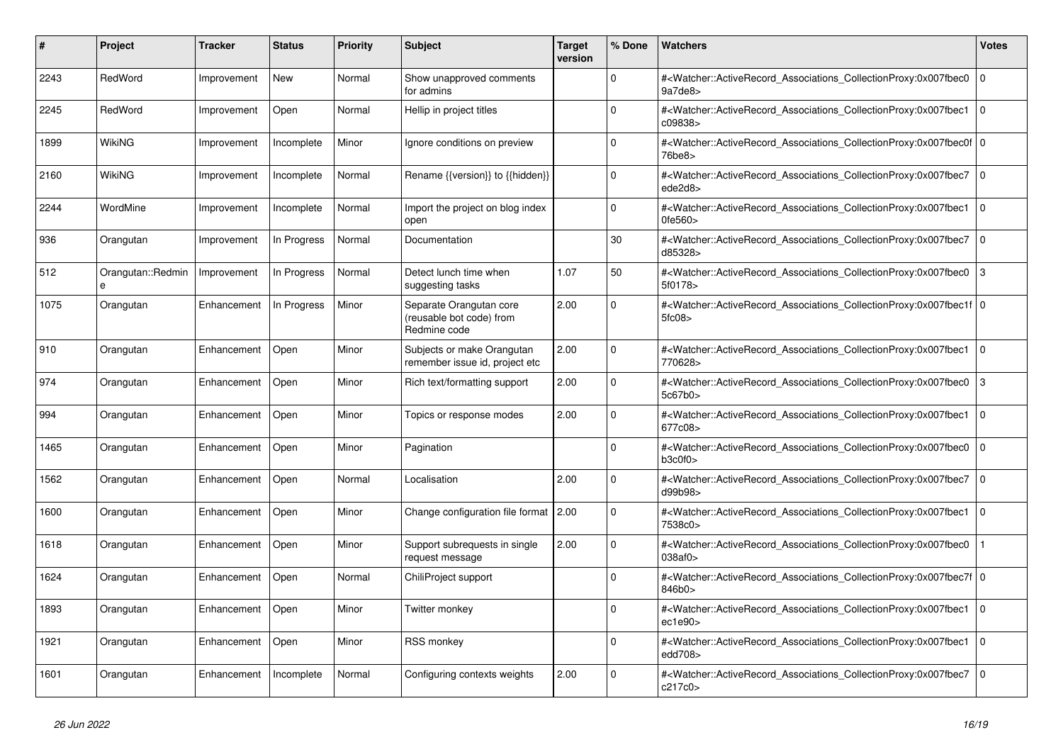| #    | <b>Project</b>                | <b>Tracker</b> | <b>Status</b> | <b>Priority</b> | <b>Subject</b>                                                      | <b>Target</b><br>version | % Done      | <b>Watchers</b>                                                                                                                                           | Votes          |
|------|-------------------------------|----------------|---------------|-----------------|---------------------------------------------------------------------|--------------------------|-------------|-----------------------------------------------------------------------------------------------------------------------------------------------------------|----------------|
| 2243 | RedWord                       | Improvement    | <b>New</b>    | Normal          | Show unapproved comments<br>for admins                              |                          | $\Omega$    | # <watcher::activerecord_associations_collectionproxy:0x007fbec0<br>9a7de8&gt;</watcher::activerecord_associations_collectionproxy:0x007fbec0<br>         | 0              |
| 2245 | RedWord                       | Improvement    | Open          | Normal          | Hellip in project titles                                            |                          | $\Omega$    | # <watcher::activerecord_associations_collectionproxy:0x007fbec1<br>c09838&gt;</watcher::activerecord_associations_collectionproxy:0x007fbec1<br>         | $\overline{0}$ |
| 1899 | WikiNG                        | Improvement    | Incomplete    | Minor           | Ignore conditions on preview                                        |                          | $\Omega$    | # <watcher::activerecord 0<br="" associations="" collectionproxy:0x007fbec0f=""  ="">76be8&gt;</watcher::activerecord>                                    |                |
| 2160 | <b>WikiNG</b>                 | Improvement    | Incomplete    | Normal          | Rename {{version}} to {{hidden}}                                    |                          | $\Omega$    | # <watcher::activerecord_associations_collectionproxy:0x007fbec7<br>ede2d8&gt;</watcher::activerecord_associations_collectionproxy:0x007fbec7<br>         | 0              |
| 2244 | WordMine                      | Improvement    | Incomplete    | Normal          | Import the project on blog index<br>open                            |                          | $\Omega$    | # <watcher::activerecord associations="" collectionproxy:0x007fbec1<br="">0fe560&gt;</watcher::activerecord>                                              | $\overline{0}$ |
| 936  | Orangutan                     | Improvement    | In Progress   | Normal          | Documentation                                                       |                          | 30          | # <watcher::activerecord associations="" collectionproxy:0x007fbec7<br="">d85328&gt;</watcher::activerecord>                                              | 0              |
| 512  | Orangutan::Redmin<br>$\theta$ | Improvement    | In Progress   | Normal          | Detect lunch time when<br>suggesting tasks                          | 1.07                     | 50          | # <watcher::activerecord associations="" collectionproxy:0x007fbec0<br="">5f0178&gt;</watcher::activerecord>                                              | $\mathbf{3}$   |
| 1075 | Orangutan                     | Enhancement    | In Progress   | Minor           | Separate Orangutan core<br>(reusable bot code) from<br>Redmine code | 2.00                     | $\Omega$    | # <watcher::activerecord_associations_collectionproxy:0x007fbec1f 0<br=""  ="">5fc08</watcher::activerecord_associations_collectionproxy:0x007fbec1f>     |                |
| 910  | Orangutan                     | Enhancement    | Open          | Minor           | Subjects or make Orangutan<br>remember issue id, project etc        | 2.00                     | $\Omega$    | # <watcher::activerecord_associations_collectionproxy:0x007fbec1<br>770628&gt;</watcher::activerecord_associations_collectionproxy:0x007fbec1<br>         | l o            |
| 974  | Orangutan                     | Enhancement    | Open          | Minor           | Rich text/formatting support                                        | 2.00                     | $\Omega$    | # <watcher::activerecord_associations_collectionproxy:0x007fbec0<br>5c67b0&gt;</watcher::activerecord_associations_collectionproxy:0x007fbec0<br>         | 3              |
| 994  | Orangutan                     | Enhancement    | Open          | Minor           | Topics or response modes                                            | 2.00                     | $\Omega$    | # <watcher::activerecord associations="" collectionproxy:0x007fbec1<br="">677c08&gt;</watcher::activerecord>                                              | $\overline{0}$ |
| 1465 | Orangutan                     | Enhancement    | Open          | Minor           | Pagination                                                          |                          | $\Omega$    | # <watcher::activerecord associations="" collectionproxy:0x007fbec0<br="">b3c0f0<sub>&gt;</sub></watcher::activerecord>                                   | 0              |
| 1562 | Orangutan                     | Enhancement    | Open          | Normal          | Localisation                                                        | 2.00                     | $\Omega$    | # <watcher::activerecord_associations_collectionproxy:0x007fbec7<br>d99b98&gt;</watcher::activerecord_associations_collectionproxy:0x007fbec7<br>         | $\Omega$       |
| 1600 | Orangutan                     | Enhancement    | Open          | Minor           | Change configuration file format 2.00                               |                          | $\Omega$    | # <watcher::activerecord associations="" collectionproxy:0x007fbec1<br="">7538c0&gt;</watcher::activerecord>                                              | $\overline{0}$ |
| 1618 | Orangutan                     | Enhancement    | Open          | Minor           | Support subrequests in single<br>request message                    | 2.00                     | $\mathbf 0$ | # <watcher::activerecord associations="" collectionproxy:0x007fbec0<br="">038af0&gt;</watcher::activerecord>                                              |                |
| 1624 | Orangutan                     | Enhancement    | Open          | Normal          | ChiliProject support                                                |                          | $\Omega$    | # <watcher::activerecord_associations_collectionproxy:0x007fbec7f 0<br=""  ="">846b0&gt;</watcher::activerecord_associations_collectionproxy:0x007fbec7f> |                |
| 1893 | Orangutan                     | Enhancement    | Open          | Minor           | Twitter monkey                                                      |                          | $\Omega$    | # <watcher::activerecord associations="" collectionproxy:0x007fbec1<br="">ec1e90&gt;</watcher::activerecord>                                              | $\overline{0}$ |
| 1921 | Orangutan                     | Enhancement    | Open          | Minor           | <b>RSS monkey</b>                                                   |                          | $\Omega$    | # <watcher::activerecord_associations_collectionproxy:0x007fbec1<br>edd708&gt;</watcher::activerecord_associations_collectionproxy:0x007fbec1<br>         | 0              |
| 1601 | Orangutan                     | Enhancement    | Incomplete    | Normal          | Configuring contexts weights                                        | 2.00                     | $\Omega$    | # <watcher::activerecord_associations_collectionproxy:0x007fbec7<br>c217c0&gt;</watcher::activerecord_associations_collectionproxy:0x007fbec7<br>         | $\Omega$       |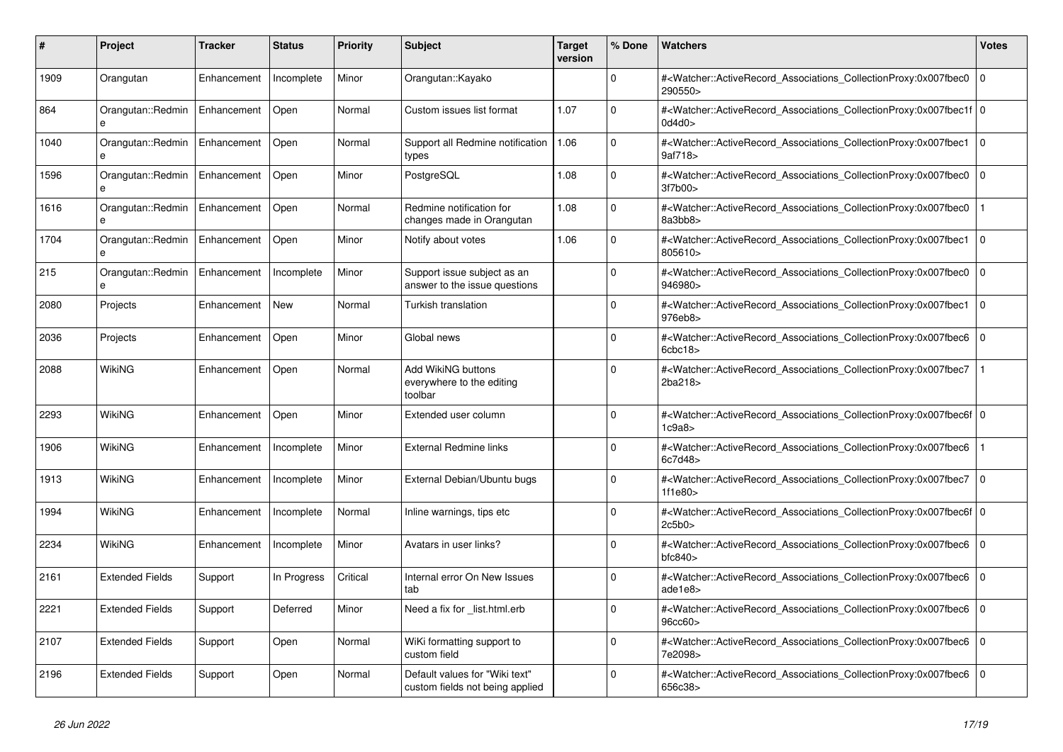| #    | <b>Project</b>                    | Tracker     | <b>Status</b> | <b>Priority</b> | <b>Subject</b>                                                    | <b>Target</b><br>version | % Done   | <b>Watchers</b>                                                                                                                                                                | <b>Votes</b> |
|------|-----------------------------------|-------------|---------------|-----------------|-------------------------------------------------------------------|--------------------------|----------|--------------------------------------------------------------------------------------------------------------------------------------------------------------------------------|--------------|
| 1909 | Orangutan                         | Enhancement | Incomplete    | Minor           | Orangutan::Kayako                                                 |                          | $\Omega$ | # <watcher::activerecord_associations_collectionproxy:0x007fbec0<br>290550&gt;</watcher::activerecord_associations_collectionproxy:0x007fbec0<br>                              | $\mathbf 0$  |
| 864  | Orangutan::Redmin<br>e            | Enhancement | Open          | Normal          | Custom issues list format                                         | 1.07                     | $\Omega$ | # <watcher::activerecord 0<br="" associations="" collectionproxy:0x007fbec1f=""  ="">0d4d0&gt;</watcher::activerecord>                                                         |              |
| 1040 | Orangutan::Redmin<br>$\mathbf{a}$ | Enhancement | Open          | Normal          | Support all Redmine notification<br>types                         | 1.06                     | $\Omega$ | # <watcher::activerecord 0<br="" associations="" collectionproxy:0x007fbec1=""  ="">9af718&gt;</watcher::activerecord>                                                         |              |
| 1596 | Orangutan::Redmin                 | Enhancement | Open          | Minor           | PostgreSQL                                                        | 1.08                     | $\Omega$ | # <watcher::activerecord_associations_collectionproxy:0x007fbec0<br>3f7b00&gt;</watcher::activerecord_associations_collectionproxy:0x007fbec0<br>                              | $\mathbf 0$  |
| 1616 | Orangutan::Redmin<br>e            | Enhancement | Open          | Normal          | Redmine notification for<br>changes made in Orangutan             | 1.08                     | $\Omega$ | # <watcher::activerecord associations="" collectionproxy:0x007fbec0<br="">8a3bb8&gt;</watcher::activerecord>                                                                   |              |
| 1704 | Orangutan::Redmin                 | Enhancement | Open          | Minor           | Notify about votes                                                | 1.06                     | $\Omega$ | # <watcher::activerecord associations="" collectionproxy:0x007fbec1<br="">805610&gt;</watcher::activerecord>                                                                   | $\mathbf 0$  |
| 215  | Orangutan::Redmin                 | Enhancement | Incomplete    | Minor           | Support issue subject as an<br>answer to the issue questions      |                          | $\Omega$ | # <watcher::activerecord associations="" collectionproxy:0x007fbec0<br="">946980&gt;</watcher::activerecord>                                                                   | $\mathbf 0$  |
| 2080 | Projects                          | Enhancement | <b>New</b>    | Normal          | Turkish translation                                               |                          | $\Omega$ | # <watcher::activerecord_associations_collectionproxy:0x007fbec1<br>976eb8&gt;</watcher::activerecord_associations_collectionproxy:0x007fbec1<br>                              | $\Omega$     |
| 2036 | Projects                          | Enhancement | Open          | Minor           | Global news                                                       |                          | $\Omega$ | # <watcher::activerecord_associations_collectionproxy:0x007fbec6 0<br=""  =""><math>6</math>cbc<math>18</math></watcher::activerecord_associations_collectionproxy:0x007fbec6> |              |
| 2088 | <b>WikiNG</b>                     | Enhancement | Open          | Normal          | Add WikiNG buttons<br>everywhere to the editing<br>toolbar        |                          | $\Omega$ | # <watcher::activerecord associations="" collectionproxy:0x007fbec7<br="">2ba218&gt;</watcher::activerecord>                                                                   |              |
| 2293 | WikiNG                            | Enhancement | Open          | Minor           | Extended user column                                              |                          | $\Omega$ | # <watcher::activerecord 0<br="" associations="" collectionproxy:0x007fbec6f=""  ="">1c9a8</watcher::activerecord>                                                             |              |
| 1906 | WikiNG                            | Enhancement | Incomplete    | Minor           | <b>External Redmine links</b>                                     |                          | $\Omega$ | # <watcher::activerecord associations="" collectionproxy:0x007fbec6<br="">6c7d48&gt;</watcher::activerecord>                                                                   |              |
| 1913 | WikiNG                            | Enhancement | Incomplete    | Minor           | External Debian/Ubuntu bugs                                       |                          | $\Omega$ | # <watcher::activerecord_associations_collectionproxy:0x007fbec7<br>1f1e80</watcher::activerecord_associations_collectionproxy:0x007fbec7<br>                                  | $\Omega$     |
| 1994 | WikiNG                            | Enhancement | Incomplete    | Normal          | Inline warnings, tips etc                                         |                          | $\Omega$ | # <watcher::activerecord 0<br="" associations="" collectionproxy:0x007fbec6f=""  ="">2c5b0</watcher::activerecord>                                                             |              |
| 2234 | <b>WikiNG</b>                     | Enhancement | Incomplete    | Minor           | Avatars in user links?                                            |                          | $\Omega$ | # <watcher::activerecord associations="" collectionproxy:0x007fbec6<br="">bfc840</watcher::activerecord>                                                                       | $\mathbf 0$  |
| 2161 | <b>Extended Fields</b>            | Support     | In Progress   | Critical        | Internal error On New Issues<br>tab                               |                          | $\Omega$ | # <watcher::activerecord_associations_collectionproxy:0x007fbec6<br>ade1e8&gt;</watcher::activerecord_associations_collectionproxy:0x007fbec6<br>                              | $\Omega$     |
| 2221 | <b>Extended Fields</b>            | Support     | Deferred      | Minor           | Need a fix for list.html.erb                                      |                          | $\Omega$ | # <watcher::activerecord associations="" collectionproxy:0x007fbec6=""  <br="">96cc60&gt;</watcher::activerecord>                                                              | $\mathbf 0$  |
| 2107 | <b>Extended Fields</b>            | Support     | Open          | Normal          | WiKi formatting support to<br>custom field                        |                          | $\Omega$ | # <watcher::activerecord associations="" collectionproxy:0x007fbec6<br="">7e2098&gt;</watcher::activerecord>                                                                   | $\mathbf 0$  |
| 2196 | <b>Extended Fields</b>            | Support     | Open          | Normal          | Default values for "Wiki text"<br>custom fields not being applied |                          | $\Omega$ | # <watcher::activerecord_associations_collectionproxy:0x007fbec6<br>656c38&gt;</watcher::activerecord_associations_collectionproxy:0x007fbec6<br>                              | $\Omega$     |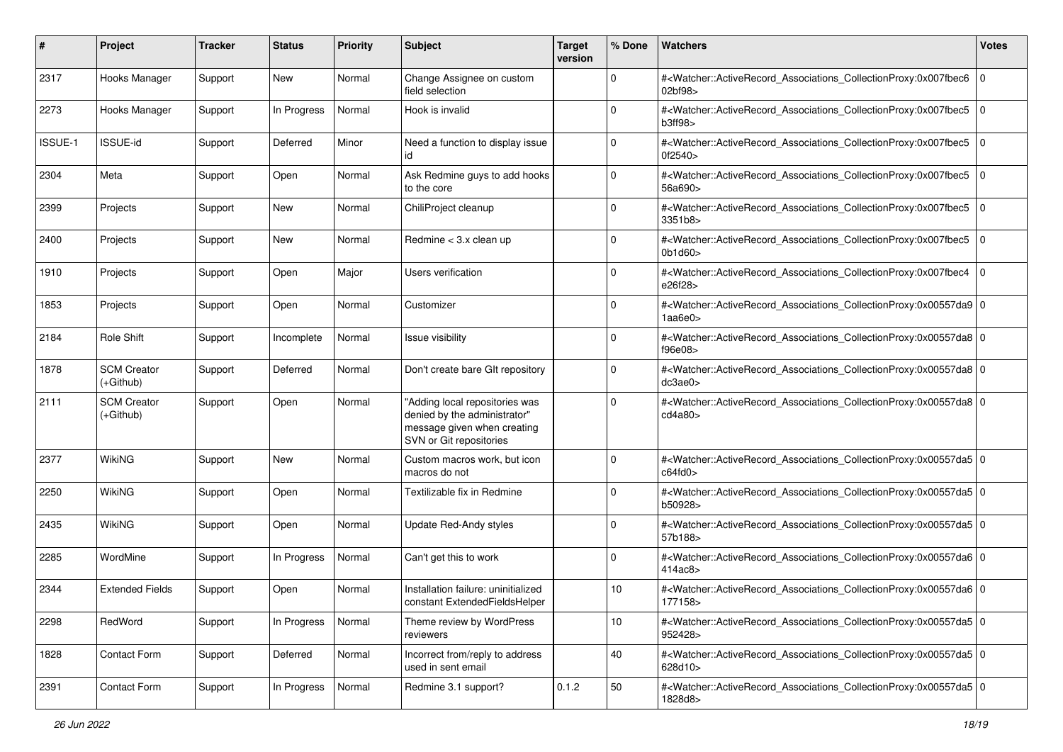| #       | Project                         | Tracker | <b>Status</b> | <b>Priority</b> | Subject                                                                                                                  | <b>Target</b><br>version | % Done      | <b>Watchers</b>                                                                                                                                          | <b>Votes</b> |
|---------|---------------------------------|---------|---------------|-----------------|--------------------------------------------------------------------------------------------------------------------------|--------------------------|-------------|----------------------------------------------------------------------------------------------------------------------------------------------------------|--------------|
| 2317    | Hooks Manager                   | Support | New           | Normal          | Change Assignee on custom<br>field selection                                                                             |                          | 0           | # <watcher::activerecord_associations_collectionproxy:0x007fbec6<br>02bf98&gt;</watcher::activerecord_associations_collectionproxy:0x007fbec6<br>        | $\mathbf 0$  |
| 2273    | Hooks Manager                   | Support | In Progress   | Normal          | Hook is invalid                                                                                                          |                          | 0           | # <watcher::activerecord_associations_collectionproxy:0x007fbec5<br>b3ff98&gt;</watcher::activerecord_associations_collectionproxy:0x007fbec5<br>        | $\mathbf 0$  |
| ISSUE-1 | <b>ISSUE-id</b>                 | Support | Deferred      | Minor           | Need a function to display issue<br>id                                                                                   |                          | $\Omega$    | # <watcher::activerecord_associations_collectionproxy:0x007fbec5<br>0f2540&gt;</watcher::activerecord_associations_collectionproxy:0x007fbec5<br>        | $\mathbf 0$  |
| 2304    | Meta                            | Support | Open          | Normal          | Ask Redmine guys to add hooks<br>to the core                                                                             |                          | $\mathbf 0$ | # <watcher::activerecord_associations_collectionproxy:0x007fbec5<br>56a690&gt;</watcher::activerecord_associations_collectionproxy:0x007fbec5<br>        | $\mathbf 0$  |
| 2399    | Projects                        | Support | New           | Normal          | ChiliProject cleanup                                                                                                     |                          | $\mathbf 0$ | # <watcher::activerecord_associations_collectionproxy:0x007fbec5<br>3351b8&gt;</watcher::activerecord_associations_collectionproxy:0x007fbec5<br>        | l O          |
| 2400    | Projects                        | Support | <b>New</b>    | Normal          | Redmine $<$ 3.x clean up                                                                                                 |                          | $\Omega$    | # <watcher::activerecord_associations_collectionproxy:0x007fbec5<br>0b1d60&gt;</watcher::activerecord_associations_collectionproxy:0x007fbec5<br>        | $\mathbf 0$  |
| 1910    | Projects                        | Support | Open          | Major           | Users verification                                                                                                       |                          | $\Omega$    | # <watcher::activerecord_associations_collectionproxy:0x007fbec4<br>e26f28&gt;</watcher::activerecord_associations_collectionproxy:0x007fbec4<br>        | $\mathbf 0$  |
| 1853    | Projects                        | Support | Open          | Normal          | Customizer                                                                                                               |                          | $\mathbf 0$ | # <watcher::activerecord_associations_collectionproxy:0x00557da9 0<br="">1aa6e0&gt;</watcher::activerecord_associations_collectionproxy:0x00557da9>      |              |
| 2184    | <b>Role Shift</b>               | Support | Incomplete    | Normal          | <b>Issue visibility</b>                                                                                                  |                          | $\mathbf 0$ | # <watcher::activerecord_associations_collectionproxy:0x00557da8 0<br="">f96e08&gt;</watcher::activerecord_associations_collectionproxy:0x00557da8>      |              |
| 1878    | <b>SCM Creator</b><br>(+Github) | Support | Deferred      | Normal          | Don't create bare GIt repository                                                                                         |                          | $\Omega$    | # <watcher::activerecord_associations_collectionproxy:0x00557da8 0<br=""  ="">dc3ae0&gt;</watcher::activerecord_associations_collectionproxy:0x00557da8> |              |
| 2111    | <b>SCM Creator</b><br>(+Github) | Support | Open          | Normal          | "Adding local repositories was<br>denied by the administrator"<br>message given when creating<br>SVN or Git repositories |                          | $\Omega$    | # <watcher::activerecord_associations_collectionproxy:0x00557da8 0<br=""  ="">cd4a80&gt;</watcher::activerecord_associations_collectionproxy:0x00557da8> |              |
| 2377    | <b>WikiNG</b>                   | Support | New           | Normal          | Custom macros work, but icon<br>macros do not                                                                            |                          | $\Omega$    | # <watcher::activerecord_associations_collectionproxy:0x00557da5 0<br=""  ="">c64fd0</watcher::activerecord_associations_collectionproxy:0x00557da5>     |              |
| 2250    | <b>WikiNG</b>                   | Support | Open          | Normal          | Textilizable fix in Redmine                                                                                              |                          | 0           | # <watcher::activerecord_associations_collectionproxy:0x00557da5 0<br=""  ="">b50928&gt;</watcher::activerecord_associations_collectionproxy:0x00557da5> |              |
| 2435    | <b>WikiNG</b>                   | Support | Open          | Normal          | <b>Update Red-Andy styles</b>                                                                                            |                          | 0           | # <watcher::activerecord_associations_collectionproxy:0x00557da5 0<br="">57b188&gt;</watcher::activerecord_associations_collectionproxy:0x00557da5>      |              |
| 2285    | WordMine                        | Support | In Progress   | Normal          | Can't get this to work                                                                                                   |                          | $\Omega$    | # <watcher::activerecord_associations_collectionproxy:0x00557da6 0<br="">414ac8&gt;</watcher::activerecord_associations_collectionproxy:0x00557da6>      |              |
| 2344    | <b>Extended Fields</b>          | Support | Open          | Normal          | Installation failure: uninitialized<br>constant ExtendedFieldsHelper                                                     |                          | 10          | # <watcher::activerecord_associations_collectionproxy:0x00557da6 0<br="">177158&gt;</watcher::activerecord_associations_collectionproxy:0x00557da6>      |              |
| 2298    | RedWord                         | Support | In Progress   | Normal          | Theme review by WordPress<br>reviewers                                                                                   |                          | 10          | # <watcher::activerecord_associations_collectionproxy:0x00557da5 0<br=""  ="">952428&gt;</watcher::activerecord_associations_collectionproxy:0x00557da5> |              |
| 1828    | Contact Form                    | Support | Deferred      | Normal          | Incorrect from/reply to address<br>used in sent email                                                                    |                          | 40          | # <watcher::activerecord_associations_collectionproxy:0x00557da5 0<br="">628d10&gt;</watcher::activerecord_associations_collectionproxy:0x00557da5>      |              |
| 2391    | Contact Form                    | Support | In Progress   | Normal          | Redmine 3.1 support?                                                                                                     | 0.1.2                    | 50          | # <watcher::activerecord_associations_collectionproxy:0x00557da5 0<br=""  ="">1828d8&gt;</watcher::activerecord_associations_collectionproxy:0x00557da5> |              |